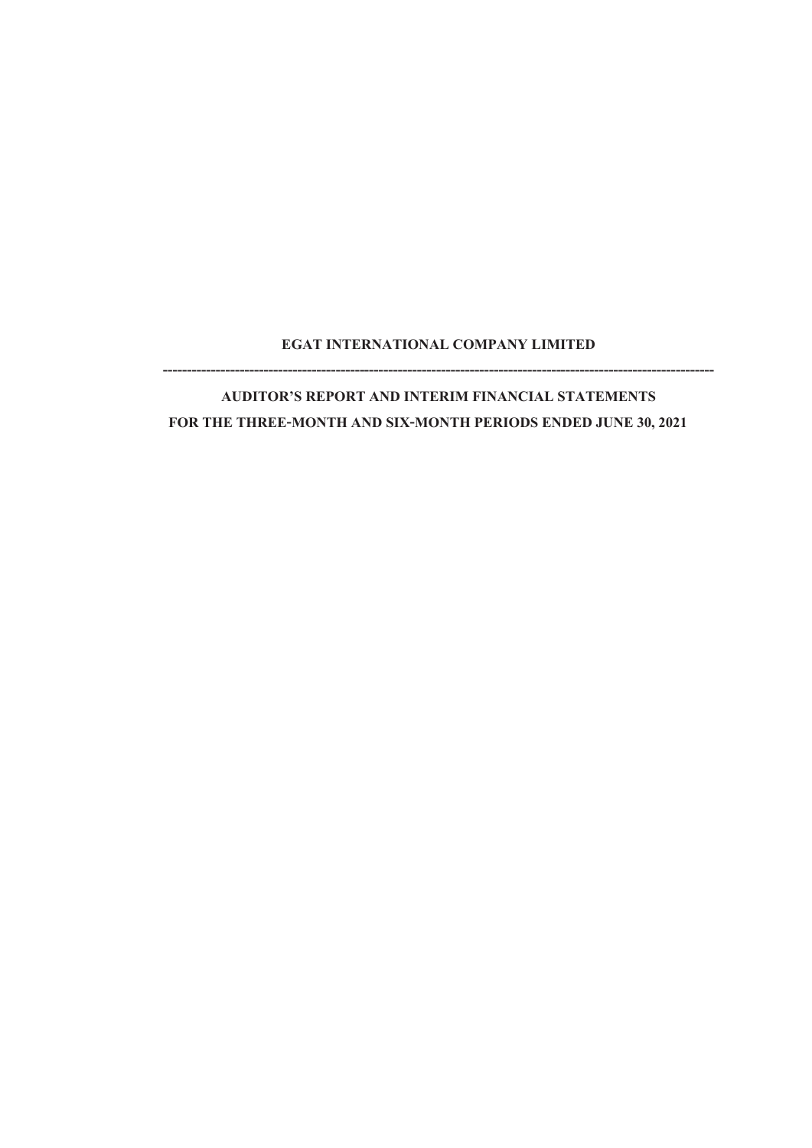# **EGAT INTERNATIONAL COMPANY LIMITED -------------------------------------------------------------------------------------------------------------------**

**AUDITOR'S REPORT AND INTERIM FINANCIAL STATEMENTS FOR THE THREE-MONTH AND SIX-MONTH PERIODS ENDED JUNE 30,2021**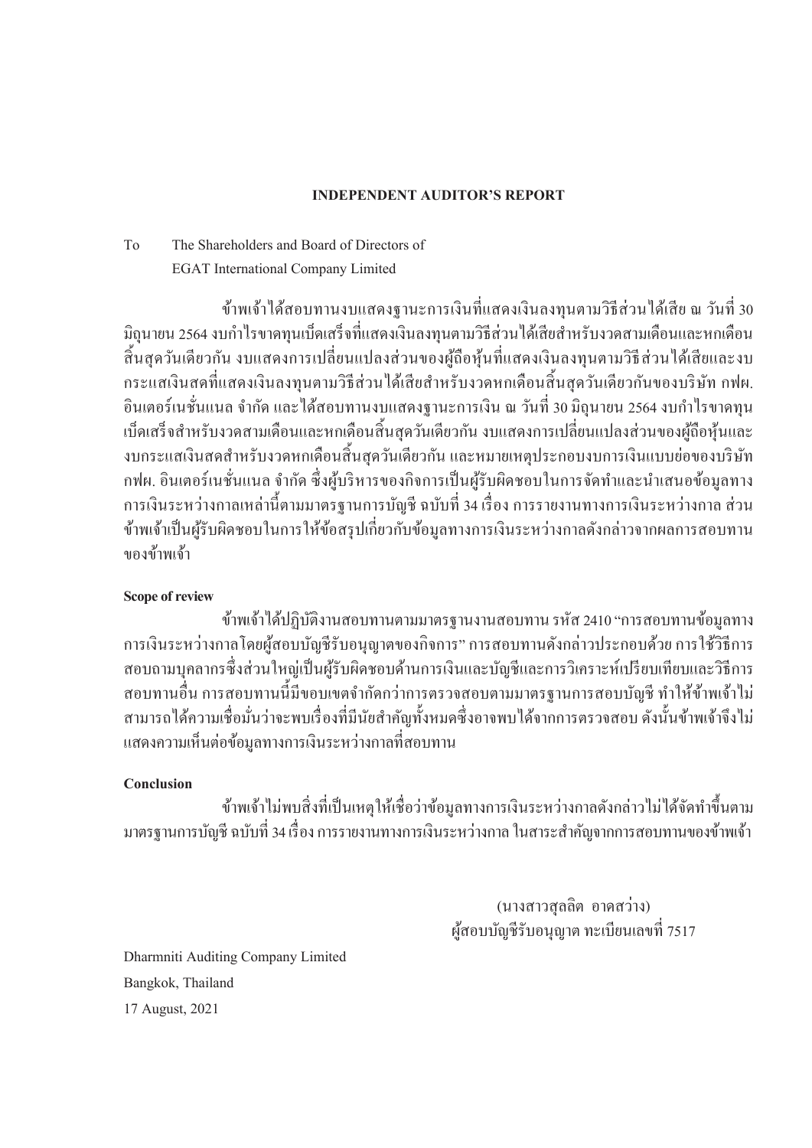# **INDEPENDENT AUDITOR'S REPORT**

# To The Shareholders and Board of Directors of EGAT International Company Limited

ี ข้าพเจ้าใด้สอบทานงบแสดงฐานะการเงินที่แสดงเงินลงทุนตามวิธีส่วนใด้เสีย ณ วันที่ 30 ่ มิถุนายน 2564 งบกำไรขาดทุนเบ็ดเสร็จที่แสดงเงินลงทุนตามวิธีส่วนได้เสียสำหรับงวดสามเดือนและหกเดือน ้สิ้นสุดวันเดียวกัน งบแสดงการเปลี่ยนแปลงส่วนของผู้ถือหุ้นที่แสดงเงินลงทุนตามวิธีส่วนใด้เสียและงบ ึกระแสเงินสดที่แสดงเงินลงทนตามวิธีส่วนใด้เสียสำหรับงวดหกเดือนสิ้นสดวันเดียวกันของบริษัท กฟผ. ้อินเตอร์เนชั่นแนล จำกัด และได้สอบทานงบแสดงฐานะการเงิน ณ วันที่ 30 มิถุนายน 2564 งบกำไรขาดทุน เบ็ดเสร็จสำหรับงวดสามเดือนและหกเดือนสิ้นสุดวันเดียวกัน งบแสดงการเปลี่ยนแปลงส่วนของผู้ถือหุ้นและ งบกระแสเงินสดสำหรับงวดหกเดือนสิ้นสุดวันเดียวกัน และหมายเหตุประกอบงบการเงินแบบย่อของบริษัท ึกฟผ. อินเตอร์เนชั่นแนล จำกัด ซึ่งผู้บริหารของกิจการเป็นผู้รับผิดชอบในการจัดทำและนำเสนอข้อมูลทาง ึ การเงินระหว่างกาลเหล่านี้ตามมาตรฐานการบัญชี ฉบับที่ 34 เรื่อง การรายงานทางการเงินระหว่างกาล ส่วน ้ ข้าพเจ้าเป็นผ้รับผิดชอบในการให้ข้อสรปเกี่ยวกับข้อมลทางการเงินระหว่างกาลดังกล่าวจากผลการสอบทาน ของข้าพเจ้า

# **Scope of review**

้ ข้าพเจ้าใค้ปฏิบัติงานสอบทานตามมาตรฐานงานสอบทาน รหัส 2410 "การสอบทานข้อมลทาง ึ การเงินระหว่างกาลโดยผู้สอบบัญชีรับอนุญาตของกิจการ" การสอบทานดังกล่าวประกอบด้วย การใช้วิธีการ สอบถามบุคลากรซึ่งส่วนใหญ่เป็นผู้รับผิดชอบด้านการเงินและบัญชีและการวิเคราะห์เปรียบเทียบและวิธีการ ้ สอบทานอื่น การสอบทานนี้มีขอบเขตจำกัดกว่าการตรวจสอบตามมาตรฐานการสอบบัญชี ทำให้ข้าพเจ้าไม่ ี สามารถได้ความเชื่อมั่นว่าจะพบเรื่องที่มีนัยสำคัญทั้งหมดซึ่งอาจพบได้จากการตรวจสอบ ดังนั้นข้าพเจ้าจึงไม่ ้ แสดงความเห็นต่อข้อมูลทางการเงินระหว่างกาลที่สอบทาน

# **Conclusion**

้ ข้าพเจ้า ไม่พบสิ่งที่เป็นเหตุให้เชื่อว่าข้อมูลทางการเงินระหว่างกาลดังกล่าว ไม่ ได้จัดทำขึ้นตาม ิมาตรฐานการบัญชี ฉบับที่ 34 เรื่อง การรายงานทางการเงินระหว่างกาล ในสาระสำคัญจากการสอบทานของข้าพเจ้า

> (นางสาวสุลลิต อาคสว่าง) ศู้สอบบัญชีรับอนุญาต ทะเบียนเลขที่ 7517

Dharmniti Auditing Company Limited Bangkok, Thailand 17 August, 2021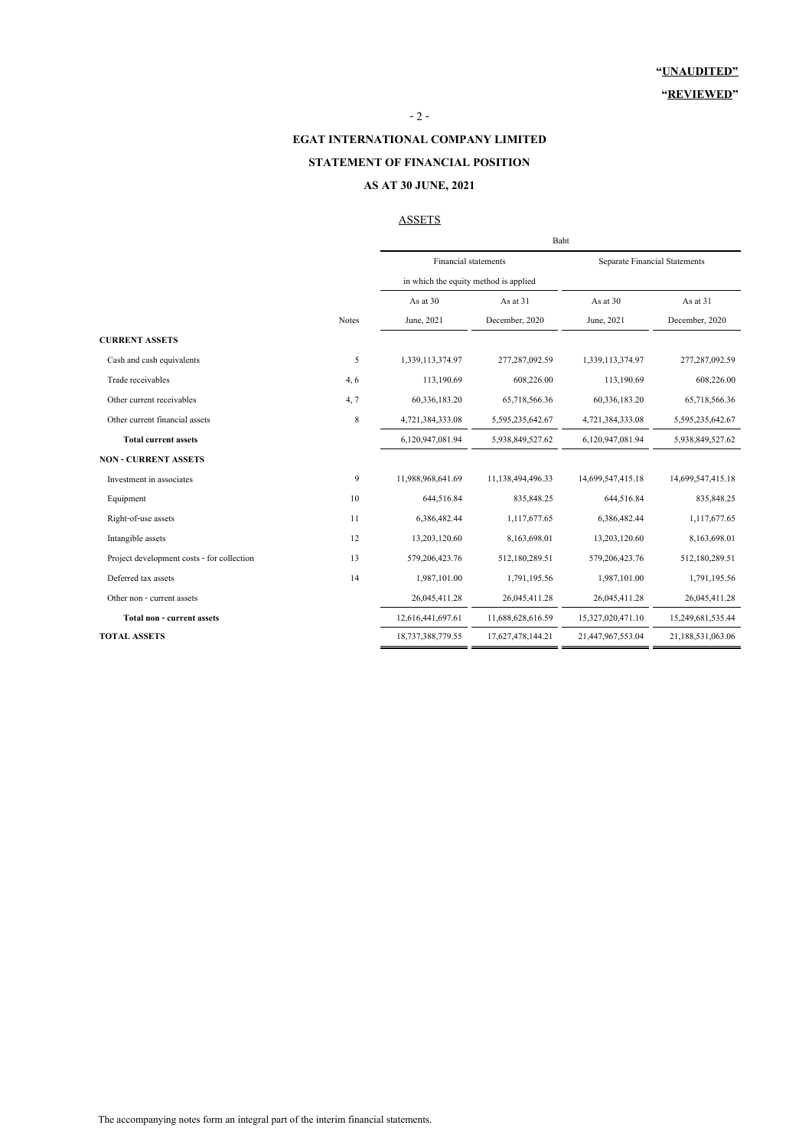#### $-2 -$

### **EGAT INTERNATIONAL COMPANY LIMITED**

### **STATEMENT OF FINANCIAL POSITION**

### **AS AT 30 JUNE, 2021**

#### **ASSETS**

|                                            |              | Baht                                  |                   |                                      |                   |  |  |
|--------------------------------------------|--------------|---------------------------------------|-------------------|--------------------------------------|-------------------|--|--|
|                                            |              | Financial statements                  |                   | <b>Separate Financial Statements</b> |                   |  |  |
|                                            |              | in which the equity method is applied |                   |                                      |                   |  |  |
|                                            |              | As at 30                              | As at 31          | As at 30                             | As at 31          |  |  |
|                                            | <b>Notes</b> | June, 2021                            | December, 2020    | June, 2021                           | December, 2020    |  |  |
| <b>CURRENT ASSETS</b>                      |              |                                       |                   |                                      |                   |  |  |
| Cash and cash equivalents                  | 5            | 1,339,113,374.97                      | 277,287,092.59    | 1,339,113,374.97                     | 277,287,092.59    |  |  |
| Trade receivables                          | 4,6          | 113,190.69                            | 608,226.00        | 113,190.69                           | 608,226.00        |  |  |
| Other current receivables                  | 4, 7         | 60,336,183.20                         | 65,718,566.36     | 60,336,183.20                        | 65,718,566.36     |  |  |
| Other current financial assets             | $\,$ 8 $\,$  | 4,721,384,333.08                      | 5,595,235,642.67  | 4,721,384,333.08                     | 5,595,235,642.67  |  |  |
| <b>Total current assets</b>                |              | 6,120,947,081.94                      | 5,938,849,527.62  | 6,120,947,081.94                     | 5,938,849,527.62  |  |  |
| <b>NON - CURRENT ASSETS</b>                |              |                                       |                   |                                      |                   |  |  |
| Investment in associates                   | 9            | 11,988,968,641.69                     | 11,138,494,496.33 | 14,699,547,415.18                    | 14,699,547,415.18 |  |  |
| Equipment                                  | 10           | 644,516.84                            | 835, 848.25       | 644,516.84                           | 835, 848.25       |  |  |
| Right-of-use assets                        | 11           | 6,386,482.44                          | 1,117,677.65      | 6,386,482.44                         | 1,117,677.65      |  |  |
| Intangible assets                          | 12           | 13,203,120.60                         | 8,163,698.01      | 13,203,120.60                        | 8,163,698.01      |  |  |
| Project development costs - for collection | 13           | 579,206,423.76                        | 512,180,289.51    | 579,206,423.76                       | 512,180,289.51    |  |  |
| Deferred tax assets                        | 14           | 1,987,101.00                          | 1,791,195.56      | 1,987,101.00                         | 1,791,195.56      |  |  |
| Other non - current assets                 |              | 26,045,411.28                         | 26,045,411.28     | 26,045,411.28                        | 26,045,411.28     |  |  |
| Total non - current assets                 |              | 12,616,441,697.61                     | 11,688,628,616.59 | 15,327,020,471.10                    | 15,249,681,535.44 |  |  |
| <b>TOTAL ASSETS</b>                        |              | 18,737,388,779.55                     | 17,627,478,144.21 | 21,447,967,553.04                    | 21,188,531,063.06 |  |  |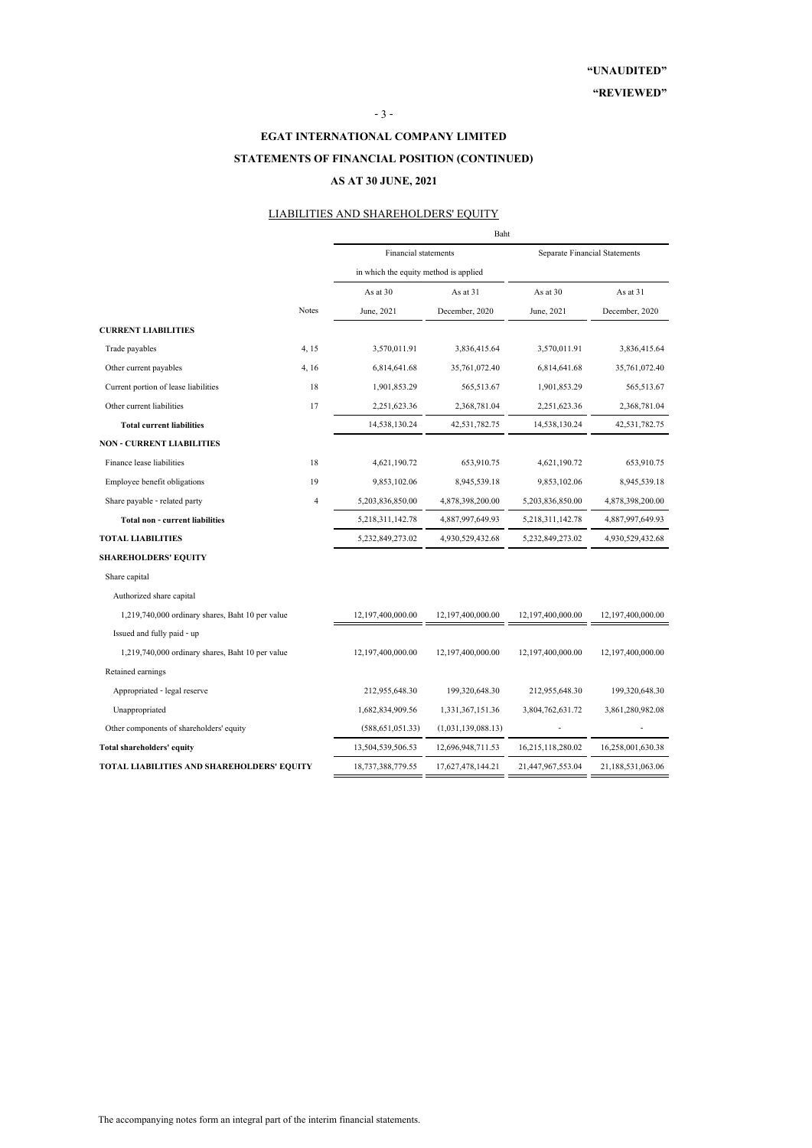#### - 3 -

# **EGAT INTERNATIONAL COMPANY LIMITED STATEMENTS OF FINANCIAL POSITION (CONTINUED) AS AT 30 JUNE, 2021**

### LIABILITIES AND SHAREHOLDERS' EQUITY

|                                                  |                | Baht                                  |                    |                               |                   |  |  |
|--------------------------------------------------|----------------|---------------------------------------|--------------------|-------------------------------|-------------------|--|--|
|                                                  |                | <b>Financial statements</b>           |                    | Separate Financial Statements |                   |  |  |
|                                                  |                | in which the equity method is applied |                    |                               |                   |  |  |
|                                                  |                | As at 30                              | As at 31           | As at 30                      | As at 31          |  |  |
|                                                  | <b>Notes</b>   | June, 2021                            | December, 2020     | June, 2021                    | December, 2020    |  |  |
| <b>CURRENT LIABILITIES</b>                       |                |                                       |                    |                               |                   |  |  |
| Trade payables                                   | 4, 15          | 3,570,011.91                          | 3,836,415.64       | 3,570,011.91                  | 3,836,415.64      |  |  |
| Other current payables                           | 4, 16          | 6,814,641.68                          | 35,761,072.40      | 6,814,641.68                  | 35,761,072.40     |  |  |
| Current portion of lease liabilities             | 18             | 1,901,853.29                          | 565,513.67         | 1,901,853.29                  | 565,513.67        |  |  |
| Other current liabilities                        | 17             | 2,251,623.36                          | 2,368,781.04       | 2,251,623.36                  | 2,368,781.04      |  |  |
| <b>Total current liabilities</b>                 |                | 14,538,130.24                         | 42,531,782.75      | 14,538,130.24                 | 42,531,782.75     |  |  |
| <b>NON - CURRENT LIABILITIES</b>                 |                |                                       |                    |                               |                   |  |  |
| Finance lease liabilities                        | 18             | 4,621,190.72                          | 653,910.75         | 4,621,190.72                  | 653,910.75        |  |  |
| Employee benefit obligations                     | 19             | 9,853,102.06                          | 8,945,539.18       | 9,853,102.06                  | 8,945,539.18      |  |  |
| Share payable - related party                    | $\overline{4}$ | 5,203,836,850.00                      | 4,878,398,200.00   | 5,203,836,850.00              | 4,878,398,200.00  |  |  |
| Total non - current liabilities                  |                | 5,218,311,142.78                      | 4,887,997,649.93   | 5,218,311,142.78              | 4,887,997,649.93  |  |  |
| <b>TOTAL LIABILITIES</b>                         |                | 5,232,849,273.02                      | 4,930,529,432.68   | 5,232,849,273.02              | 4,930,529,432.68  |  |  |
| <b>SHAREHOLDERS' EQUITY</b>                      |                |                                       |                    |                               |                   |  |  |
| Share capital                                    |                |                                       |                    |                               |                   |  |  |
| Authorized share capital                         |                |                                       |                    |                               |                   |  |  |
| 1,219,740,000 ordinary shares, Baht 10 per value |                | 12,197,400,000.00                     | 12,197,400,000.00  | 12,197,400,000.00             | 12,197,400,000.00 |  |  |
| Issued and fully paid - up                       |                |                                       |                    |                               |                   |  |  |
| 1,219,740,000 ordinary shares, Baht 10 per value |                | 12,197,400,000.00                     | 12,197,400,000.00  | 12,197,400,000.00             | 12,197,400,000.00 |  |  |
| Retained earnings                                |                |                                       |                    |                               |                   |  |  |
| Appropriated - legal reserve                     |                | 212,955,648.30                        | 199,320,648.30     | 212,955,648.30                | 199,320,648.30    |  |  |
| Unappropriated                                   |                | 1,682,834,909.56                      | 1,331,367,151.36   | 3,804,762,631.72              | 3,861,280,982.08  |  |  |
| Other components of shareholders' equity         |                | (588, 651, 051.33)                    | (1,031,139,088.13) |                               |                   |  |  |
| Total shareholders' equity                       |                | 13,504,539,506.53                     | 12,696,948,711.53  | 16,215,118,280.02             | 16,258,001,630.38 |  |  |
| TOTAL LIABILITIES AND SHAREHOLDERS' EQUITY       |                | 18,737,388,779.55                     | 17,627,478,144.21  | 21,447,967,553.04             | 21,188,531,063.06 |  |  |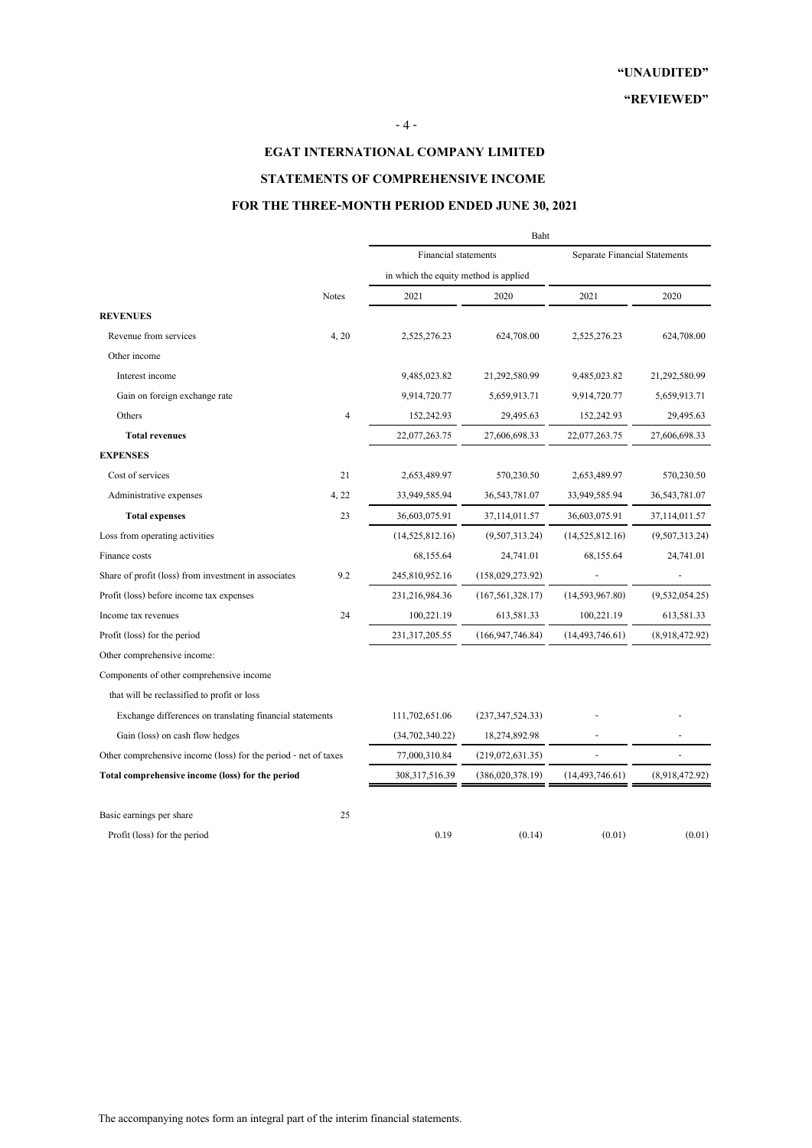### - 4 -

# **EGAT INTERNATIONAL COMPANY LIMITED**

# **STATEMENTS OF COMPREHENSIVE INCOME**

## **FOR THE THREE-MONTH PERIOD ENDED JUNE 30, 2021**

|                                                                 |                | Baht                                  |                    |                                      |                 |  |
|-----------------------------------------------------------------|----------------|---------------------------------------|--------------------|--------------------------------------|-----------------|--|
|                                                                 |                | <b>Financial statements</b>           |                    | <b>Separate Financial Statements</b> |                 |  |
|                                                                 | <b>Notes</b>   | in which the equity method is applied |                    |                                      |                 |  |
|                                                                 |                | 2021                                  | 2020               | 2021                                 | 2020            |  |
| <b>REVENUES</b>                                                 |                |                                       |                    |                                      |                 |  |
| Revenue from services                                           | 4, 20          | 2,525,276.23                          | 624,708.00         | 2,525,276.23                         | 624,708.00      |  |
| Other income                                                    |                |                                       |                    |                                      |                 |  |
| Interest income                                                 |                | 9,485,023.82                          | 21,292,580.99      | 9,485,023.82                         | 21,292,580.99   |  |
| Gain on foreign exchange rate                                   |                | 9,914,720.77                          | 5,659,913.71       | 9,914,720.77                         | 5,659,913.71    |  |
| Others                                                          | $\overline{4}$ | 152,242.93                            | 29,495.63          | 152,242.93                           | 29,495.63       |  |
| <b>Total revenues</b>                                           |                | 22,077,263.75                         | 27,606,698.33      | 22,077,263.75                        | 27,606,698.33   |  |
| <b>EXPENSES</b>                                                 |                |                                       |                    |                                      |                 |  |
| Cost of services                                                | 21             | 2,653,489.97                          | 570,230.50         | 2,653,489.97                         | 570,230.50      |  |
| Administrative expenses                                         | 4, 22          | 33,949,585.94                         | 36, 543, 781.07    | 33,949,585.94                        | 36, 543, 781.07 |  |
| <b>Total expenses</b>                                           | 23             | 36,603,075.91                         | 37,114,011.57      | 36,603,075.91                        | 37,114,011.57   |  |
| Loss from operating activities                                  |                | (14,525,812.16)                       | (9,507,313.24)     | (14,525,812.16)                      | (9,507,313.24)  |  |
| Finance costs                                                   |                | 68,155.64                             | 24,741.01          | 68,155.64                            | 24,741.01       |  |
| Share of profit (loss) from investment in associates            | 9.2            | 245,810,952.16                        | (158,029,273.92)   |                                      |                 |  |
| Profit (loss) before income tax expenses                        |                | 231,216,984.36                        | (167, 561, 328.17) | (14,593,967.80)                      | (9,532,054.25)  |  |
| Income tax revenues                                             | 24             | 100,221.19                            | 613,581.33         | 100,221.19                           | 613,581.33      |  |
| Profit (loss) for the period                                    |                | 231,317,205.55                        | (166, 947, 746.84) | (14, 493, 746.61)                    | (8,918,472.92)  |  |
| Other comprehensive income:                                     |                |                                       |                    |                                      |                 |  |
| Components of other comprehensive income                        |                |                                       |                    |                                      |                 |  |
| that will be reclassified to profit or loss                     |                |                                       |                    |                                      |                 |  |
| Exchange differences on translating financial statements        |                | 111,702,651.06                        | (237, 347, 524.33) |                                      |                 |  |
| Gain (loss) on cash flow hedges                                 |                | (34,702,340.22)                       | 18,274,892.98      |                                      |                 |  |
| Other comprehensive income (loss) for the period - net of taxes |                | 77,000,310.84                         | (219,072,631.35)   |                                      |                 |  |
| Total comprehensive income (loss) for the period                |                | 308, 317, 516. 39                     | (386,020,378.19)   | (14, 493, 746.61)                    | (8,918,472.92)  |  |
| Basic earnings per share                                        | 25             |                                       |                    |                                      |                 |  |
| Profit (loss) for the period                                    |                | 0.19                                  | (0.14)             | (0.01)                               | (0.01)          |  |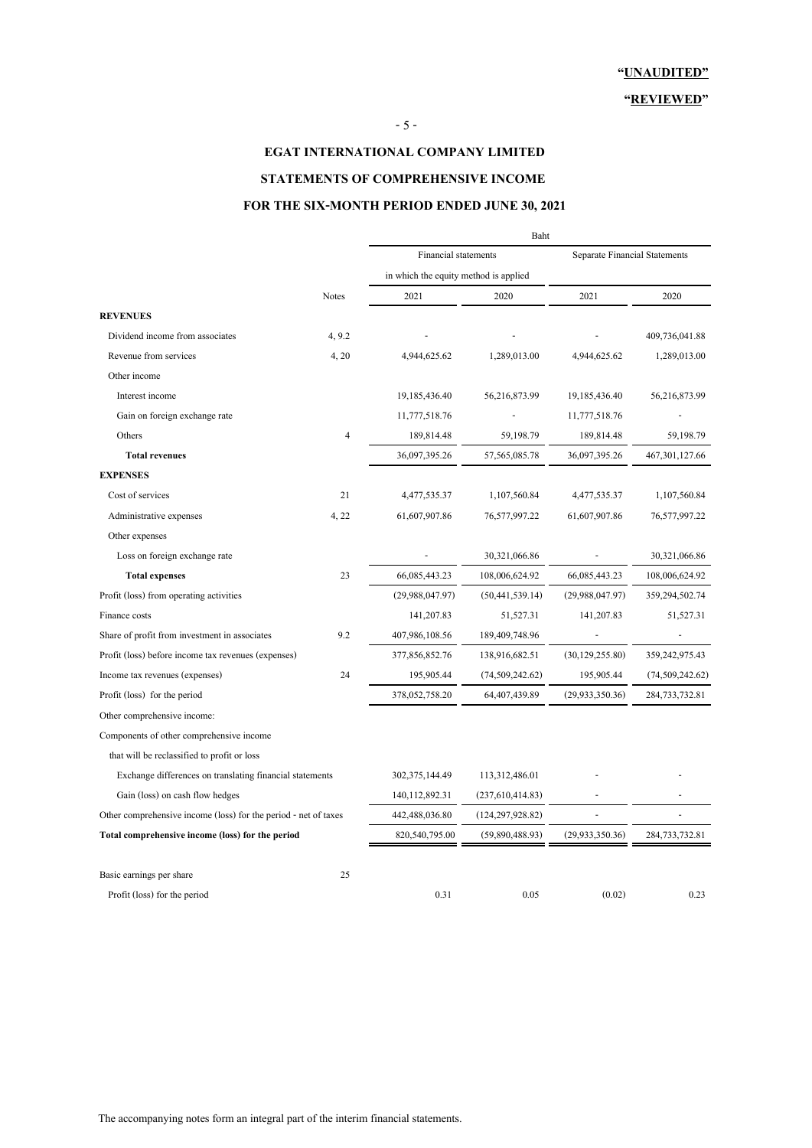## - 5 -

# **EGAT INTERNATIONAL COMPANY LIMITED STATEMENTS OF COMPREHENSIVE INCOME**

# **FOR THE SIX-MONTH PERIOD ENDED JUNE 30, 2021**

|                                                                 |                | Baht                                  |                    |                                      |                   |  |
|-----------------------------------------------------------------|----------------|---------------------------------------|--------------------|--------------------------------------|-------------------|--|
|                                                                 |                | <b>Financial statements</b>           |                    | <b>Separate Financial Statements</b> |                   |  |
|                                                                 |                | in which the equity method is applied |                    |                                      |                   |  |
|                                                                 | <b>Notes</b>   | 2021                                  | 2020               | 2021                                 | 2020              |  |
| <b>REVENUES</b>                                                 |                |                                       |                    |                                      |                   |  |
| Dividend income from associates                                 | 4, 9.2         |                                       |                    |                                      | 409,736,041.88    |  |
| Revenue from services                                           | 4, 20          | 4,944,625.62                          | 1,289,013.00       | 4,944,625.62                         | 1,289,013.00      |  |
| Other income                                                    |                |                                       |                    |                                      |                   |  |
| Interest income                                                 |                | 19,185,436.40                         | 56,216,873.99      | 19,185,436.40                        | 56,216,873.99     |  |
| Gain on foreign exchange rate                                   |                | 11,777,518.76                         |                    | 11,777,518.76                        |                   |  |
| Others                                                          | $\overline{4}$ | 189,814.48                            | 59,198.79          | 189,814.48                           | 59,198.79         |  |
| <b>Total revenues</b>                                           |                | 36,097,395.26                         | 57, 565, 085. 78   | 36,097,395.26                        | 467, 301, 127.66  |  |
| <b>EXPENSES</b>                                                 |                |                                       |                    |                                      |                   |  |
| Cost of services                                                | 21             | 4,477,535.37                          | 1,107,560.84       | 4,477,535.37                         | 1,107,560.84      |  |
| Administrative expenses                                         | 4, 22          | 61,607,907.86                         | 76,577,997.22      | 61,607,907.86                        | 76,577,997.22     |  |
| Other expenses                                                  |                |                                       |                    |                                      |                   |  |
| Loss on foreign exchange rate                                   |                |                                       | 30,321,066.86      |                                      | 30,321,066.86     |  |
| <b>Total expenses</b>                                           | 23             | 66,085,443.23                         | 108,006,624.92     | 66,085,443.23                        | 108,006,624.92    |  |
| Profit (loss) from operating activities                         |                | (29,988,047.97)                       | (50, 441, 539, 14) | (29,988,047.97)                      | 359,294,502.74    |  |
| Finance costs                                                   |                | 141,207.83                            | 51,527.31          | 141,207.83                           | 51,527.31         |  |
| Share of profit from investment in associates                   | 9.2            | 407,986,108.56                        | 189,409,748.96     |                                      |                   |  |
| Profit (loss) before income tax revenues (expenses)             |                | 377,856,852.76                        | 138,916,682.51     | (30, 129, 255.80)                    | 359,242,975.43    |  |
| Income tax revenues (expenses)                                  | 24             | 195,905.44                            | (74, 509, 242.62)  | 195,905.44                           | (74, 509, 242.62) |  |
| Profit (loss) for the period                                    |                | 378,052,758.20                        | 64,407,439.89      | (29, 933, 350.36)                    | 284,733,732.81    |  |
| Other comprehensive income:                                     |                |                                       |                    |                                      |                   |  |
| Components of other comprehensive income                        |                |                                       |                    |                                      |                   |  |
| that will be reclassified to profit or loss                     |                |                                       |                    |                                      |                   |  |
| Exchange differences on translating financial statements        |                | 302,375,144.49                        | 113,312,486.01     |                                      |                   |  |
| Gain (loss) on cash flow hedges                                 |                | 140, 112, 892. 31                     | (237,610,414.83)   |                                      |                   |  |
| Other comprehensive income (loss) for the period - net of taxes |                | 442,488,036.80                        | (124, 297, 928.82) | $\overline{a}$                       |                   |  |
| Total comprehensive income (loss) for the period                |                | 820,540,795.00                        | (59,890,488.93)    | (29, 933, 350.36)                    | 284,733,732.81    |  |
| Basic earnings per share                                        | 25             |                                       |                    |                                      |                   |  |
| Profit (loss) for the period                                    |                | 0.31                                  | 0.05               | (0.02)                               | 0.23              |  |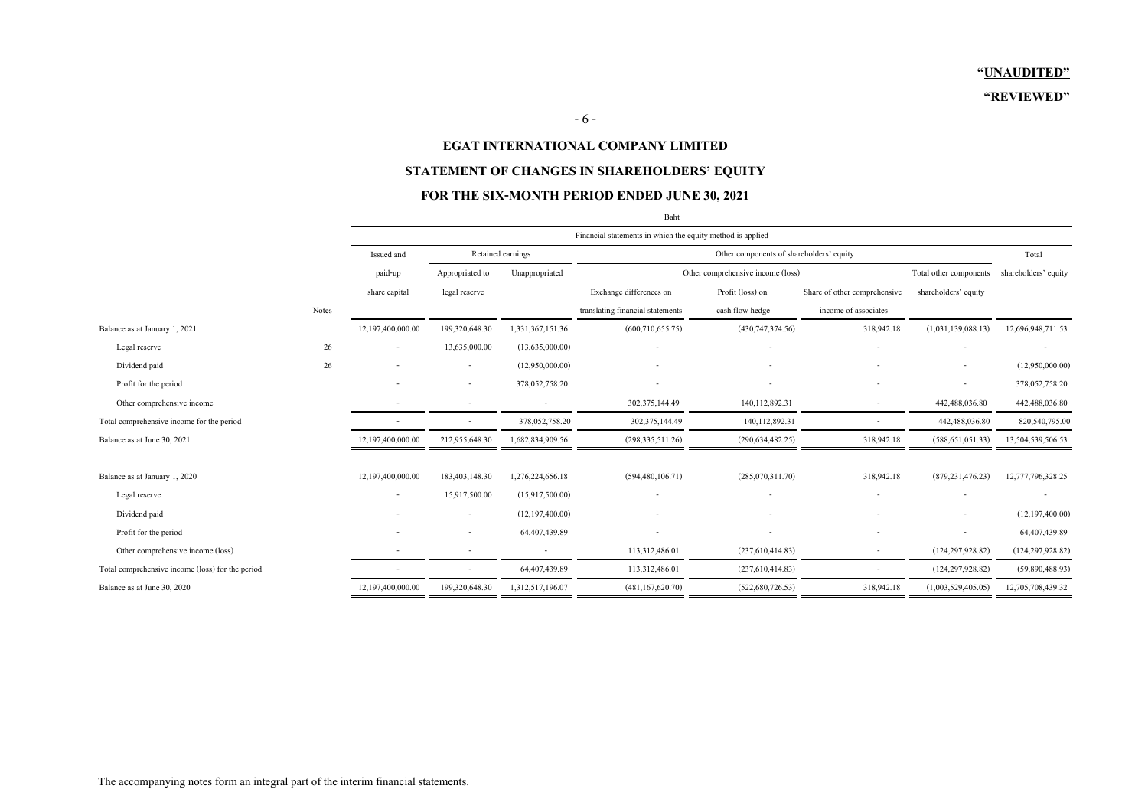### **EGAT INTERNATIONAL COMPANY LIMITED**

### **STATEMENT OF CHANGES IN SHAREHOLDERS' EQUITY**

### **FOR THE SIX-MONTH PERIOD ENDED JUNE 30, 2021**

|                                                  |       | Financial statements in which the equity method is applied                  |                          |                  |                                  |                                   |                              |                        |                      |
|--------------------------------------------------|-------|-----------------------------------------------------------------------------|--------------------------|------------------|----------------------------------|-----------------------------------|------------------------------|------------------------|----------------------|
|                                                  |       | Retained earnings<br>Other components of shareholders' equity<br>Issued and |                          |                  |                                  |                                   |                              | Total                  |                      |
|                                                  |       | paid-up                                                                     | Appropriated to          | Unappropriated   |                                  | Other comprehensive income (loss) |                              | Total other components | shareholders' equity |
|                                                  |       | share capital                                                               | legal reserve            |                  | Exchange differences on          | Profit (loss) on                  | Share of other comprehensive | shareholders' equity   |                      |
|                                                  | Notes |                                                                             |                          |                  | translating financial statements | cash flow hedge                   | income of associates         |                        |                      |
| Balance as at January 1, 2021                    |       | 12,197,400,000.00                                                           | 199,320,648.30           | 1,331,367,151.36 | (600, 710, 655.75)               | (430, 747, 374.56)                | 318,942.18                   | (1,031,139,088.13)     | 12,696,948,711.53    |
| Legal reserve                                    | 26    | $\overline{\phantom{a}}$                                                    | 13,635,000.00            | (13,635,000.00)  |                                  |                                   |                              |                        |                      |
| Dividend paid                                    | 26    |                                                                             |                          | (12,950,000.00)  |                                  |                                   |                              |                        | (12,950,000.00)      |
| Profit for the period                            |       |                                                                             | $\overline{\phantom{a}}$ | 378,052,758.20   |                                  |                                   |                              |                        | 378,052,758.20       |
| Other comprehensive income                       |       |                                                                             |                          |                  | 302,375,144.49                   | 140, 112, 892. 31                 | $\overline{\phantom{a}}$     | 442,488,036.80         | 442,488,036.80       |
| Total comprehensive income for the period        |       |                                                                             | $\overline{\phantom{a}}$ | 378,052,758.20   | 302, 375, 144. 49                | 140,112,892.31                    | $\sim$                       | 442,488,036.80         | 820,540,795.00       |
| Balance as at June 30, 2021                      |       | 12,197,400,000.00                                                           | 212,955,648.30           | 1,682,834,909.56 | (298, 335, 511.26)               | (290, 634, 482.25)                | 318,942.18                   | (588, 651, 051.33)     | 13,504,539,506.53    |
|                                                  |       |                                                                             |                          |                  |                                  |                                   |                              |                        |                      |
| Balance as at January 1, 2020                    |       | 12,197,400,000.00                                                           | 183,403,148.30           | 1,276,224,656.18 | (594, 480, 106.71)               | (285,070,311.70)                  | 318,942.18                   | (879, 231, 476, 23)    | 12,777,796,328.25    |
| Legal reserve                                    |       |                                                                             | 15,917,500.00            | (15,917,500.00)  |                                  |                                   |                              |                        |                      |
| Dividend paid                                    |       |                                                                             | $\overline{\phantom{a}}$ | (12,197,400,00)  |                                  |                                   |                              |                        | (12, 197, 400.00)    |
| Profit for the period                            |       |                                                                             |                          | 64,407,439.89    |                                  |                                   |                              |                        | 64,407,439.89        |
| Other comprehensive income (loss)                |       |                                                                             | $\overline{\phantom{a}}$ |                  | 113,312,486.01                   | (237,610,414.83)                  | $\overline{\phantom{a}}$     | (124, 297, 928.82)     | (124, 297, 928.82)   |
| Total comprehensive income (loss) for the period |       |                                                                             | $\overline{\phantom{a}}$ | 64,407,439.89    | 113,312,486.01                   | (237,610,414.83)                  | $\overline{\phantom{a}}$     | (124, 297, 928, 82)    | (59,890,488.93)      |
| Balance as at June 30, 2020                      |       | 12,197,400,000.00                                                           | 199,320,648.30           | 1,312,517,196.07 | (481, 167, 620.70)               | (522,680,726.53)                  | 318,942.18                   | (1,003,529,405.05)     | 12,705,708,439.32    |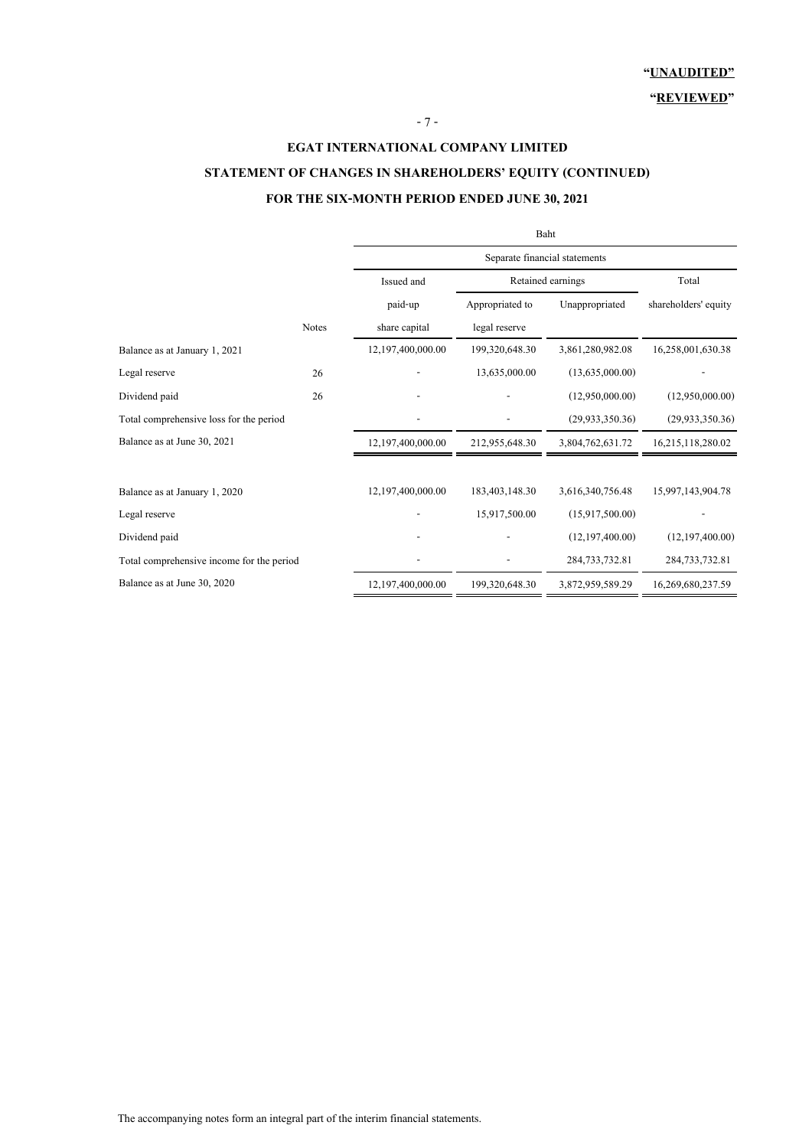# **EGAT INTERNATIONAL COMPANY LIMITED STATEMENT OF CHANGES IN SHAREHOLDERS' EQUITY (CONTINUED) FOR THE SIX-MONTH PERIOD ENDED JUNE 30, 2021**

- 7 -

|                                           |              | Baht              |                               |                   |                      |  |  |  |  |
|-------------------------------------------|--------------|-------------------|-------------------------------|-------------------|----------------------|--|--|--|--|
|                                           |              |                   | Separate financial statements |                   |                      |  |  |  |  |
|                                           |              | Issued and        | Retained earnings             | Total             |                      |  |  |  |  |
|                                           |              | paid-up           | Appropriated to               | Unappropriated    | shareholders' equity |  |  |  |  |
|                                           | <b>Notes</b> | share capital     | legal reserve                 |                   |                      |  |  |  |  |
| Balance as at January 1, 2021             |              | 12,197,400,000.00 | 199,320,648.30                | 3,861,280,982.08  | 16,258,001,630.38    |  |  |  |  |
| Legal reserve                             | 26           |                   | 13,635,000.00                 | (13,635,000.00)   |                      |  |  |  |  |
| Dividend paid                             | 26           |                   |                               | (12,950,000.00)   | (12,950,000.00)      |  |  |  |  |
| Total comprehensive loss for the period   |              |                   |                               | (29, 933, 350.36) | (29, 933, 350.36)    |  |  |  |  |
| Balance as at June 30, 2021               |              | 12,197,400,000.00 | 212,955,648.30                | 3,804,762,631.72  | 16,215,118,280.02    |  |  |  |  |
| Balance as at January 1, 2020             |              | 12,197,400,000.00 | 183,403,148.30                | 3,616,340,756.48  | 15,997,143,904.78    |  |  |  |  |
| Legal reserve                             |              |                   | 15,917,500.00                 | (15,917,500.00)   |                      |  |  |  |  |
| Dividend paid                             |              |                   |                               | (12,197,400.00)   | (12, 197, 400.00)    |  |  |  |  |
| Total comprehensive income for the period |              |                   |                               | 284, 733, 732.81  | 284, 733, 732.81     |  |  |  |  |
| Balance as at June 30, 2020               |              | 12,197,400,000.00 | 199,320,648.30                | 3,872,959,589.29  | 16,269,680,237.59    |  |  |  |  |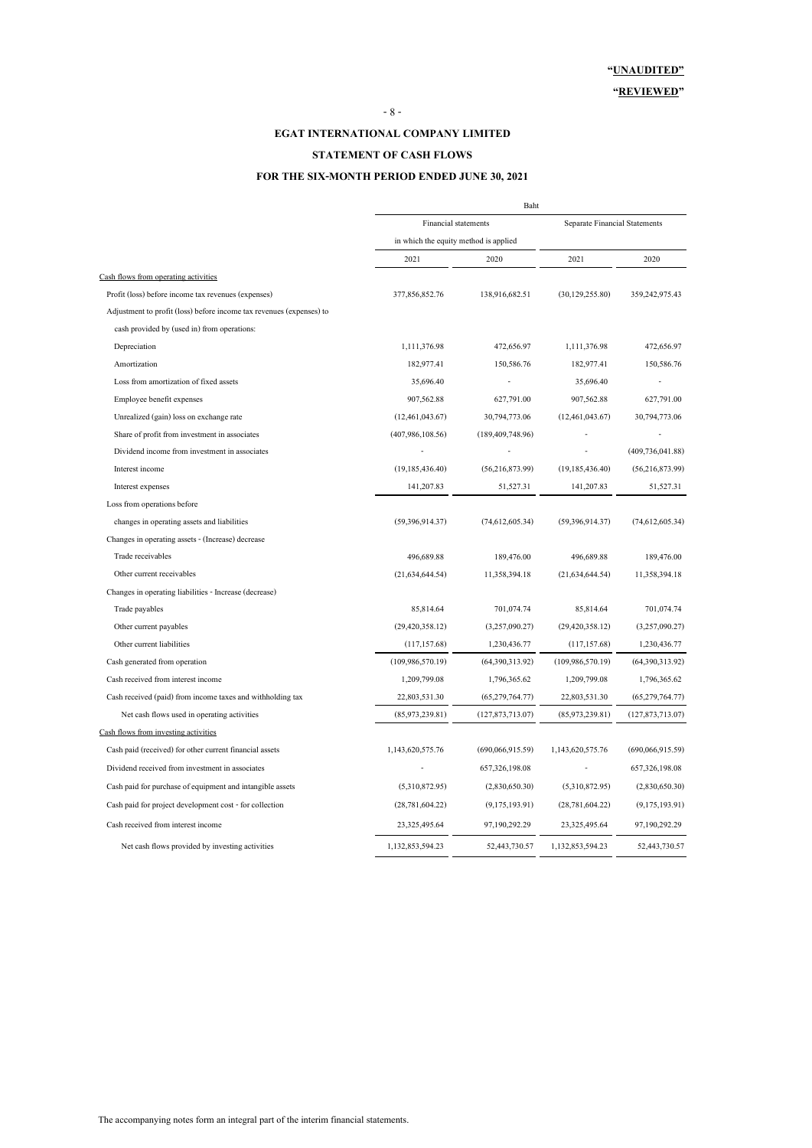#### **EGAT INTERNATIONAL COMPANY LIMITED**

#### **STATEMENT OF CASH FLOWS**

### **FOR THE SIX-MONTH PERIOD ENDED JUNE 30, 2021**

|                                                                      | Baht                                  |                     |                               |                    |  |
|----------------------------------------------------------------------|---------------------------------------|---------------------|-------------------------------|--------------------|--|
|                                                                      | <b>Financial statements</b>           |                     | Separate Financial Statements |                    |  |
|                                                                      | in which the equity method is applied |                     |                               |                    |  |
|                                                                      | 2021                                  | 2020                | 2021                          | 2020               |  |
| Cash flows from operating activities                                 |                                       |                     |                               |                    |  |
| Profit (loss) before income tax revenues (expenses)                  | 377,856,852.76                        | 138,916,682.51      | (30, 129, 255.80)             | 359,242,975.43     |  |
| Adjustment to profit (loss) before income tax revenues (expenses) to |                                       |                     |                               |                    |  |
| cash provided by (used in) from operations:                          |                                       |                     |                               |                    |  |
| Depreciation                                                         | 1,111,376.98                          | 472,656.97          | 1,111,376.98                  | 472,656.97         |  |
| Amortization                                                         | 182,977.41                            | 150,586.76          | 182,977.41                    | 150,586.76         |  |
| Loss from amortization of fixed assets                               | 35,696.40                             |                     | 35,696.40                     |                    |  |
| Employee benefit expenses                                            | 907,562.88                            | 627,791.00          | 907,562.88                    | 627,791.00         |  |
| Unrealized (gain) loss on exchange rate                              | (12,461,043.67)                       | 30,794,773.06       | (12,461,043.67)               | 30,794,773.06      |  |
| Share of profit from investment in associates                        | (407,986,108.56)                      | (189, 409, 748, 96) |                               |                    |  |
| Dividend income from investment in associates                        |                                       |                     |                               | (409, 736, 041.88) |  |
| Interest income                                                      | (19, 185, 436.40)                     | (56, 216, 873.99)   | (19, 185, 436, 40)            | (56,216,873.99)    |  |
| Interest expenses                                                    | 141,207.83                            | 51,527.31           | 141,207.83                    | 51,527.31          |  |
| Loss from operations before                                          |                                       |                     |                               |                    |  |
| changes in operating assets and liabilities                          | (59,396,914,37)                       | (74, 612, 605.34)   | (59,396,914.37)               | (74,612,605.34)    |  |
| Changes in operating assets - (Increase) decrease                    |                                       |                     |                               |                    |  |
| Trade receivables                                                    | 496,689.88                            | 189,476.00          | 496,689.88                    | 189,476.00         |  |
| Other current receivables                                            | (21,634,644,54)                       | 11,358,394.18       | (21,634,644.54)               | 11,358,394.18      |  |
| Changes in operating liabilities - Increase (decrease)               |                                       |                     |                               |                    |  |
| Trade payables                                                       | 85,814.64                             | 701,074.74          | 85,814.64                     | 701,074.74         |  |
| Other current payables                                               | (29, 420, 358.12)                     | (3,257,090.27)      | (29, 420, 358.12)             | (3,257,090.27)     |  |
| Other current liabilities                                            | (117, 157.68)                         | 1,230,436.77        | (117, 157.68)                 | 1,230,436.77       |  |
| Cash generated from operation                                        | (109,986,570.19)                      | (64,390,313.92)     | (109, 986, 570.19)            | (64,390,313.92)    |  |
| Cash received from interest income                                   | 1,209,799.08                          | 1,796,365.62        | 1,209,799.08                  | 1,796,365.62       |  |
| Cash received (paid) from income taxes and withholding tax           | 22,803,531.30                         | (65,279,764.77)     | 22,803,531.30                 | (65,279,764.77)    |  |
| Net cash flows used in operating activities                          | (85,973,239.81)                       | (127, 873, 713.07)  | (85,973,239.81)               | (127, 873, 713.07) |  |
| Cash flows from investing activities                                 |                                       |                     |                               |                    |  |
| Cash paid (received) for other current financial assets              | 1,143,620,575.76                      | (690,066,915.59)    | 1,143,620,575.76              | (690,066,915.59)   |  |
| Dividend received from investment in associates                      |                                       | 657,326,198.08      |                               | 657,326,198.08     |  |
| Cash paid for purchase of equipment and intangible assets            | (5,310,872.95)                        | (2,830,650.30)      | (5,310,872.95)                | (2,830,650.30)     |  |
| Cash paid for project development cost - for collection              | (28, 781, 604.22)                     | (9,175,193.91)      | (28, 781, 604.22)             | (9,175,193.91)     |  |
| Cash received from interest income                                   | 23,325,495.64                         | 97,190,292.29       | 23,325,495.64                 | 97,190,292.29      |  |
| Net cash flows provided by investing activities                      | 1,132,853,594.23                      | 52,443,730.57       | 1,132,853,594.23              | 52,443,730.57      |  |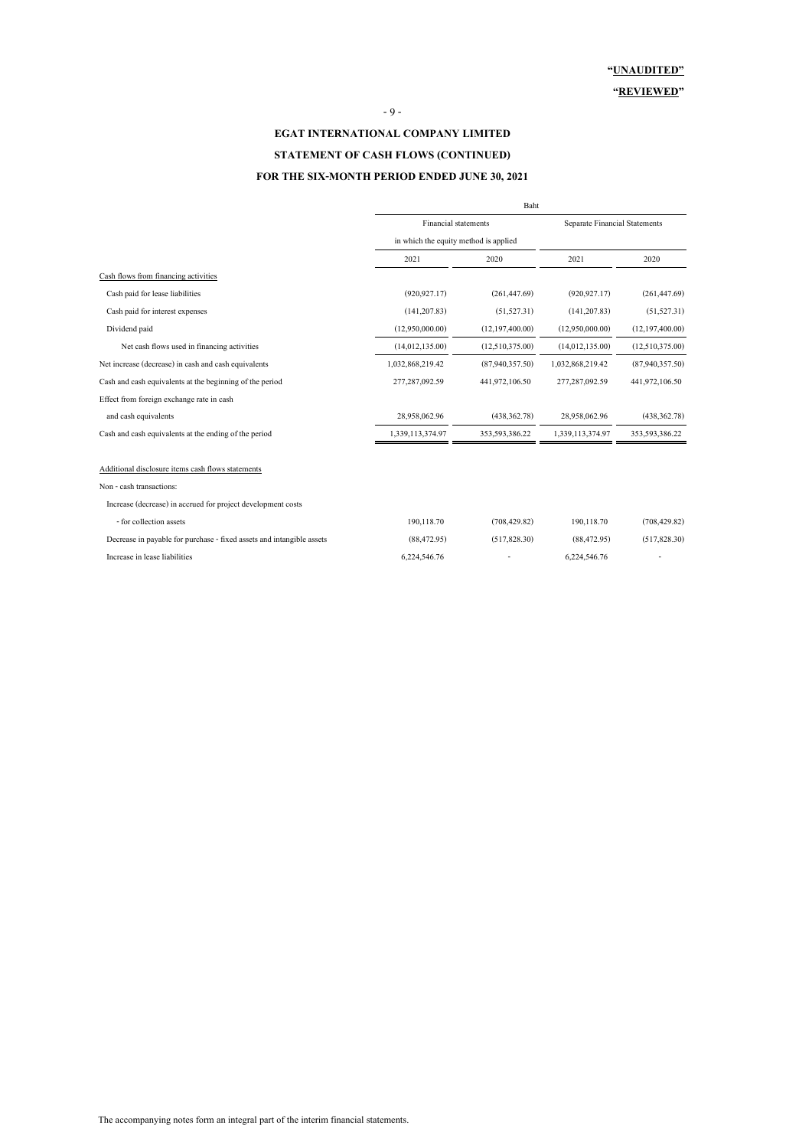#### - 9 -

# **EGAT INTERNATIONAL COMPANY LIMITED STATEMENT OF CASH FLOWS (CONTINUED) FOR THE SIX-MONTH PERIOD ENDED JUNE 30, 2021**

| Baht                                  |                   |                               |                 |  |
|---------------------------------------|-------------------|-------------------------------|-----------------|--|
|                                       |                   | Separate Financial Statements |                 |  |
| in which the equity method is applied |                   |                               |                 |  |
| 2021                                  | 2020              | 2021                          | 2020            |  |
|                                       |                   |                               |                 |  |
| (920, 927, 17)                        | (261, 447.69)     | (920.927.17)                  | (261, 447.69)   |  |
| (141, 207.83)                         | (51,527.31)       | (141, 207.83)                 | (51, 527.31)    |  |
| (12,950,000,00)                       | (12, 197, 400.00) | (12,950,000,00)               | (12,197,400.00) |  |
| (14,012,135,00)                       | (12,510,375.00)   | (14,012,135,00)               | (12,510,375.00) |  |
| 1,032,868,219.42                      | (87,940,357.50)   | 1,032,868,219.42              | (87,940,357,50) |  |
| 277,287,092.59                        | 441,972,106.50    | 277,287,092.59                | 441,972,106.50  |  |
|                                       |                   |                               |                 |  |
| 28,958,062.96                         | (438, 362, 78)    | 28,958,062.96                 | (438, 362, 78)  |  |
| 1,339,113,374.97                      | 353,593,386.22    | 1,339,113,374.97              | 353,593,386.22  |  |
|                                       |                   |                               |                 |  |
|                                       |                   |                               |                 |  |
|                                       |                   |                               |                 |  |
| 190,118.70                            | (708, 429.82)     | 190.118.70                    | (708, 429.82)   |  |
| (88, 472.95)                          | (517, 828.30)     | (88, 472, 95)                 | (517, 828.30)   |  |
| 6,224,546.76                          |                   | 6,224,546.76                  |                 |  |
|                                       |                   | Financial statements          |                 |  |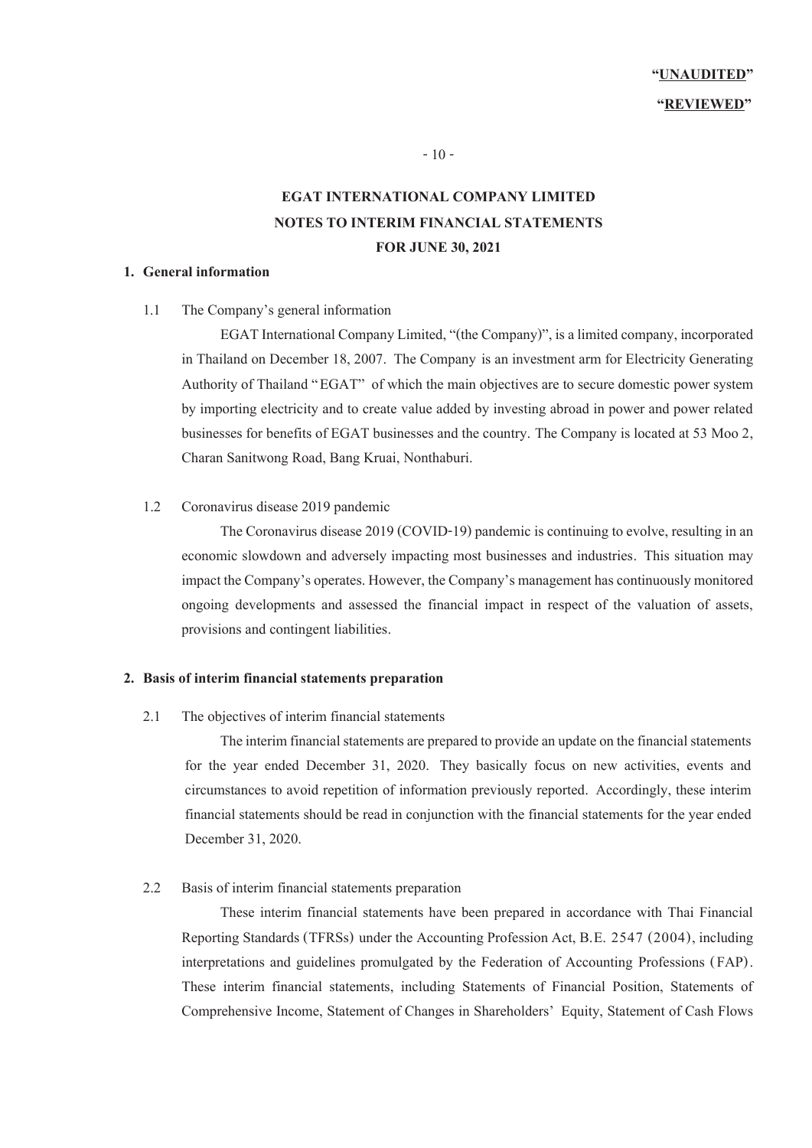- 10 -

# **EGAT INTERNATIONAL COMPANY LIMITED NOTES TO INTERIM FINANCIAL STATEMENTS FOR JUNE 30,2021**

### **1. General information**

1.1 The Company's general information

EGAT International Company Limited, "(the Company)", is a limited company, incorporated in Thailand on December 18, 2007. The Company is an investment arm for Electricity Generating Authority of Thailand "EGAT" of which the main objectives are to secure domestic power system by importing electricity and to create value added by investing abroad in power and power related businesses for benefits of EGAT businesses and the country. The Company is located at 53 Moo 2, Charan Sanitwong Road, Bang Kruai, Nonthaburi.

#### 1.2 Coronavirus disease 2019 pandemic

The Coronavirus disease 2019 (COVID-19) pandemic is continuing to evolve, resulting in an economic slowdown and adversely impacting most businesses and industries. This situation may impact the Company's operates. However, the Company's management has continuously monitored ongoing developments and assessed the financial impact in respect of the valuation of assets, provisions and contingent liabilities.

## **2. Basis of interim financial statements preparation**

2.1 The objectives of interim financial statements

 The interim financial statements are prepared to provide an update on the financial statements for the year ended December 31, 2020. They basically focus on new activities, events and circumstances to avoid repetition of information previously reported. Accordingly, these interim financial statements should be read in conjunction with the financial statements for the year ended December 31, 2020.

#### 2.2 Basis of interim financial statements preparation

These interim financial statements have been prepared in accordance with Thai Financial Reporting Standards (TFRSs) under the Accounting Profession Act, B.E. 2547 (2004), including interpretations and guidelines promulgated by the Federation of Accounting Professions (FAP). These interim financial statements, including Statements of Financial Position, Statements of Comprehensive Income, Statement of Changes in Shareholders' Equity, Statement of Cash Flows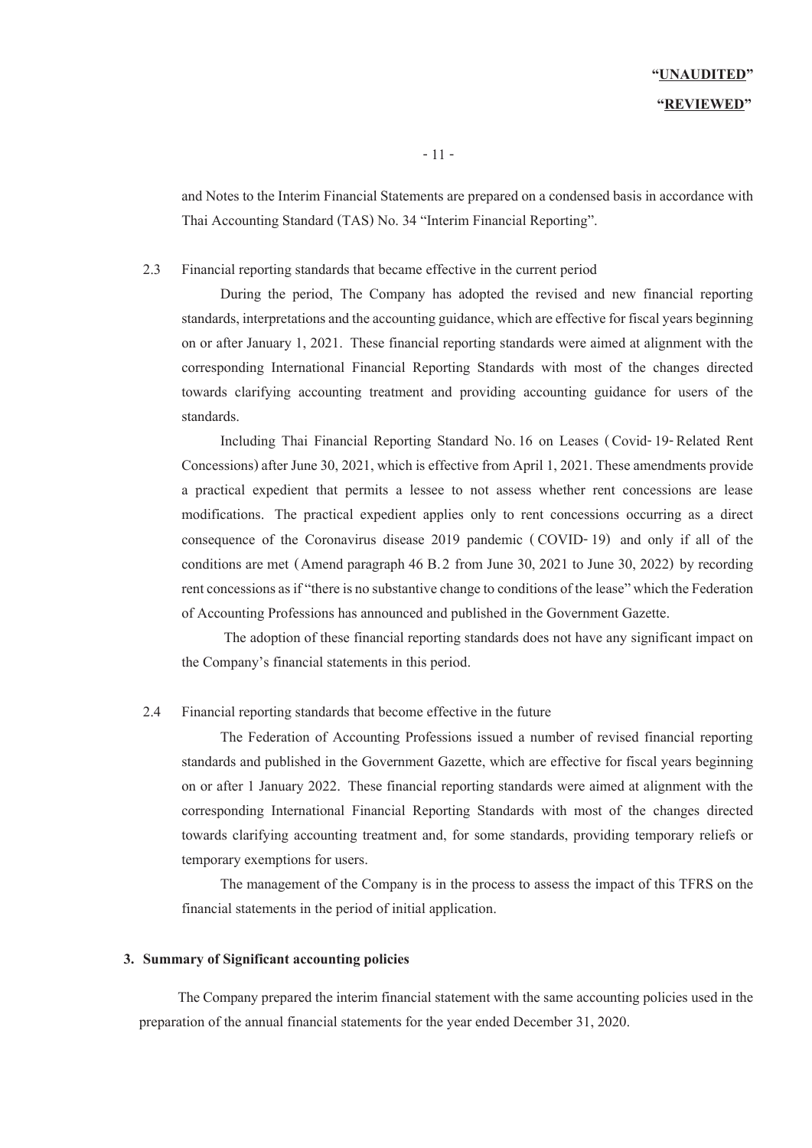# **"UNAUDITED" "REVIEWED"**

and Notes to the Interim Financial Statements are prepared on a condensed basis in accordance with Thai Accounting Standard (TAS) No. 34 "Interim Financial Reporting".

#### 2.3 Financial reporting standards that became effective in the current period

During the period, The Company has adopted the revised and new financial reporting standards, interpretations and the accounting guidance, which are effective for fiscal years beginning on or after January 1, 2021. These financial reporting standards were aimed at alignment with the corresponding International Financial Reporting Standards with most of the changes directed towards clarifying accounting treatment and providing accounting guidance for users of the standards.

Including Thai Financial Reporting Standard No.16 on Leases ( Covid-19- Related Rent Concessions) after June 30, 2021, which is effective from April 1, 2021. These amendments provide a practical expedient that permits a lessee to not assess whether rent concessions are lease modifications. The practical expedient applies only to rent concessions occurring as a direct consequence of the Coronavirus disease 2019 pandemic ( COVID-19) and only if all of the conditions are met (Amend paragraph 46 B.2 from June 30, 2021 to June 30, 2022) by recording rent concessions as if "there is no substantive change to conditions of the lease" which the Federation of Accounting Professions has announced and published in the Government Gazette.

The adoption of these financial reporting standards does not have any significant impact on the Company's financial statements in this period.

#### 2.4 Financial reporting standards that become effective in the future

The Federation of Accounting Professions issued a number of revised financial reporting standards and published in the Government Gazette, which are effective for fiscal years beginning on or after 1 January 2022. These financial reporting standards were aimed at alignment with the corresponding International Financial Reporting Standards with most of the changes directed towards clarifying accounting treatment and, for some standards, providing temporary reliefs or temporary exemptions for users.

The management of the Company is in the process to assess the impact of this TFRS on the financial statements in the period of initial application.

#### **3. Summary of Significant accounting policies**

The Company prepared the interim financial statement with the same accounting policies used in the preparation of the annual financial statements for the year ended December 31, 2020.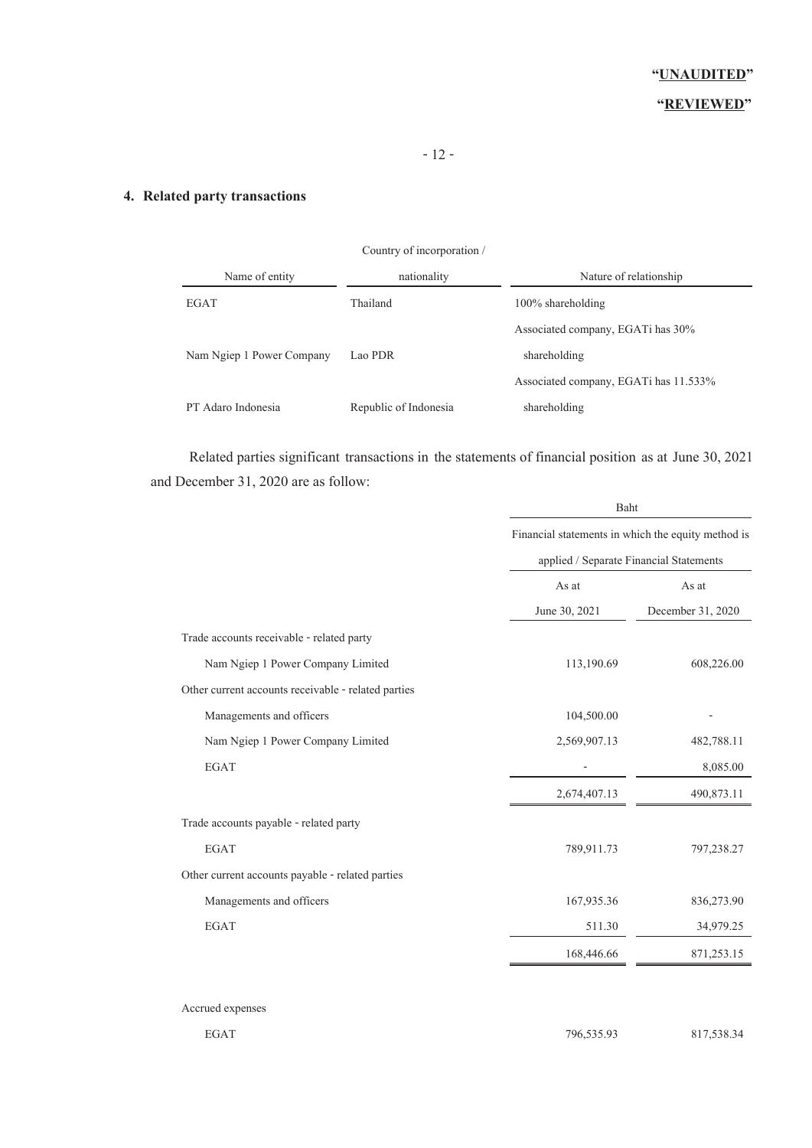# **4. Related party transactions**

|                           | Country of incorporation / |                                       |
|---------------------------|----------------------------|---------------------------------------|
| Name of entity            | nationality                | Nature of relationship                |
| <b>EGAT</b>               | Thailand                   | $100\%$ shareholding                  |
|                           |                            | Associated company, EGATi has $30\%$  |
| Nam Ngiep 1 Power Company | Lao PDR                    | shareholding                          |
|                           |                            | Associated company, EGATi has 11.533% |
| PT Adaro Indonesia        | Republic of Indonesia      | shareholding                          |

Related parties significant transactions in the statements of financial position as at June 30, 2021 and December 31, 2020 are as follow:

|                                                     | Baht                                               |                   |  |  |
|-----------------------------------------------------|----------------------------------------------------|-------------------|--|--|
|                                                     | Financial statements in which the equity method is |                   |  |  |
|                                                     | applied / Separate Financial Statements            |                   |  |  |
|                                                     | As at                                              | As at             |  |  |
|                                                     | June 30, 2021                                      | December 31, 2020 |  |  |
| Trade accounts receivable - related party           |                                                    |                   |  |  |
| Nam Ngiep 1 Power Company Limited                   | 113,190.69                                         | 608,226.00        |  |  |
| Other current accounts receivable - related parties |                                                    |                   |  |  |
| Managements and officers                            | 104,500.00                                         |                   |  |  |
| Nam Ngiep 1 Power Company Limited                   | 2,569,907.13                                       | 482,788.11        |  |  |
| <b>EGAT</b>                                         |                                                    | 8,085.00          |  |  |
|                                                     | 2,674,407.13                                       | 490,873.11        |  |  |
| Trade accounts payable - related party              |                                                    |                   |  |  |
| <b>EGAT</b>                                         | 789,911.73                                         | 797,238.27        |  |  |
| Other current accounts payable - related parties    |                                                    |                   |  |  |
| Managements and officers                            | 167,935.36                                         | 836,273.90        |  |  |
| <b>EGAT</b>                                         | 511.30                                             | 34,979.25         |  |  |
|                                                     | 168,446.66                                         | 871,253.15        |  |  |
|                                                     |                                                    |                   |  |  |

Accrued expenses

EGAT 796,535.93 817,538.34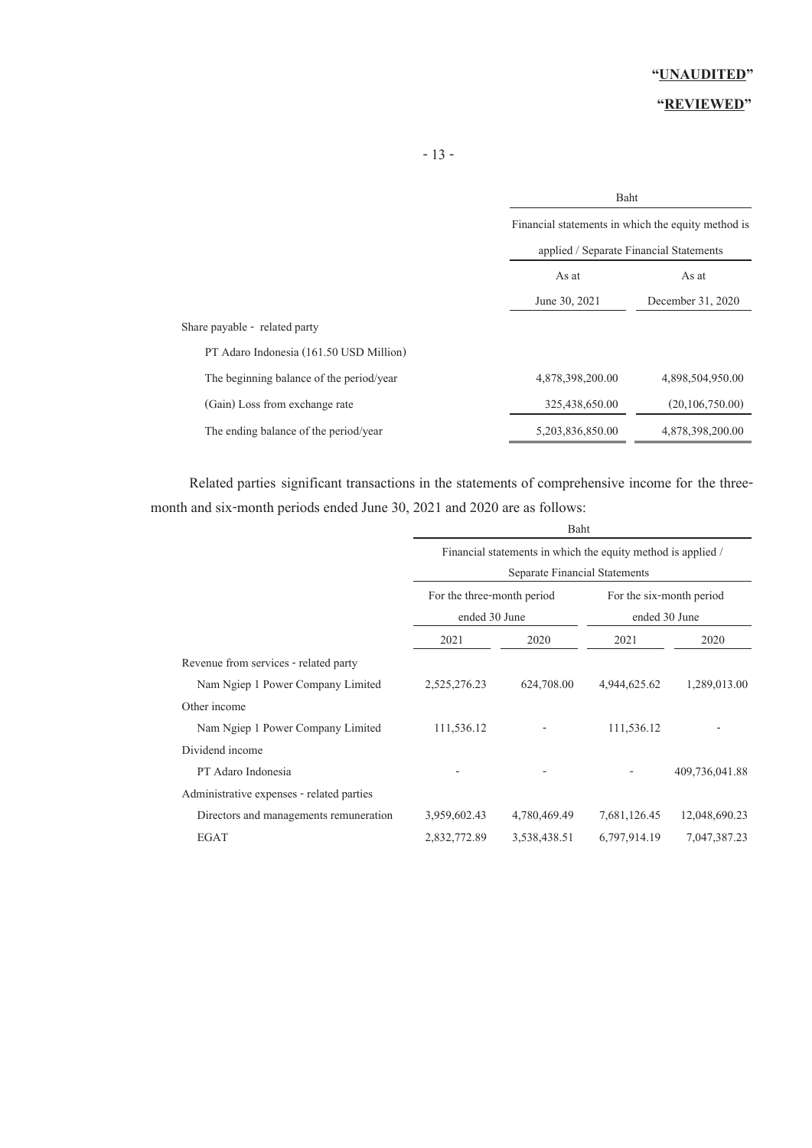# **"REVIEWED"**

| Financial statements in which the equity method is                               |  |
|----------------------------------------------------------------------------------|--|
|                                                                                  |  |
| applied / Separate Financial Statements                                          |  |
| As at<br>As at                                                                   |  |
| June 30, 2021<br>December 31, 2020                                               |  |
| Share payable - related party                                                    |  |
| PT Adaro Indonesia (161.50 USD Million)                                          |  |
| The beginning balance of the period/year<br>4,878,398,200.00<br>4,898,504,950.00 |  |
| (20,106,750,00)<br>(Gain) Loss from exchange rate<br>325,438,650.00              |  |
| 5,203,836,850.00<br>4,878,398,200.00<br>The ending balance of the period/year    |  |

Related parties significant transactions in the statements of comprehensive income for the threemonth and six-month periods ended June 30, 2021 and 2020 are as follows:

|                                           | Baht                                                         |              |              |                |  |
|-------------------------------------------|--------------------------------------------------------------|--------------|--------------|----------------|--|
|                                           | Financial statements in which the equity method is applied / |              |              |                |  |
|                                           | Separate Financial Statements                                |              |              |                |  |
|                                           | For the three-month period<br>For the six-month period       |              |              |                |  |
|                                           | ended 30 June                                                |              |              | ended 30 June  |  |
|                                           | 2021                                                         | 2020         | 2021         | 2020           |  |
| Revenue from services - related party     |                                                              |              |              |                |  |
| Nam Ngiep 1 Power Company Limited         | 2,525,276.23                                                 | 624,708.00   | 4,944,625.62 | 1,289,013.00   |  |
| Other income                              |                                                              |              |              |                |  |
| Nam Ngiep 1 Power Company Limited         | 111,536.12                                                   |              | 111,536.12   |                |  |
| Dividend income                           |                                                              |              |              |                |  |
| PT Adaro Indonesia                        |                                                              |              |              | 409,736,041.88 |  |
| Administrative expenses - related parties |                                                              |              |              |                |  |
| Directors and managements remuneration    | 3,959,602.43                                                 | 4,780,469.49 | 7,681,126.45 | 12,048,690.23  |  |
| <b>EGAT</b>                               | 2,832,772.89                                                 | 3,538,438.51 | 6,797,914.19 | 7,047,387.23   |  |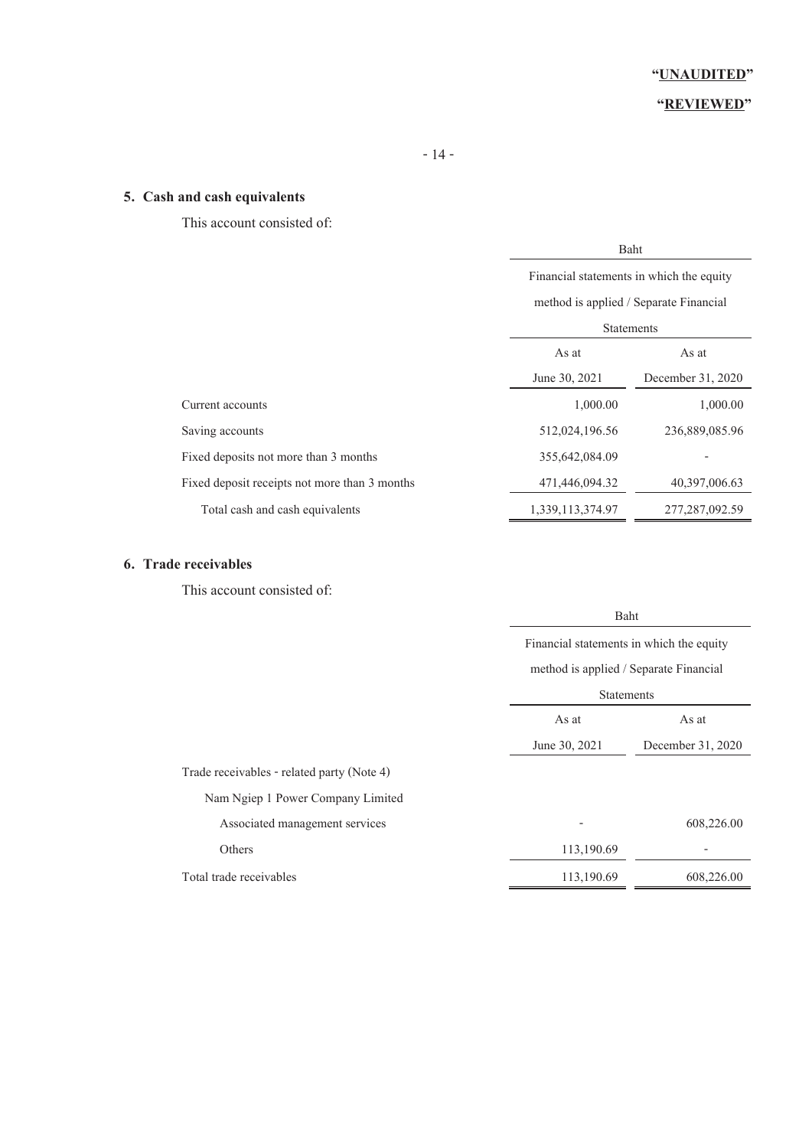# **"REVIEWED"**

# **5. Cash and cash equivalents**

This account consisted of:

|                                               | Baht                                     |                   |  |
|-----------------------------------------------|------------------------------------------|-------------------|--|
|                                               | Financial statements in which the equity |                   |  |
|                                               | method is applied / Separate Financial   |                   |  |
|                                               | <b>Statements</b>                        |                   |  |
|                                               | As at<br>As at                           |                   |  |
|                                               | June 30, 2021                            | December 31, 2020 |  |
| Current accounts                              | 1,000.00                                 | 1,000.00          |  |
| Saving accounts                               | 512,024,196.56                           | 236,889,085.96    |  |
| Fixed deposits not more than 3 months         | 355,642,084.09                           |                   |  |
| Fixed deposit receipts not more than 3 months | 471,446,094.32                           | 40,397,006.63     |  |
| Total cash and cash equivalents               | 1,339,113,374.97                         | 277, 287, 092.59  |  |

# **6. Trade receivables**

This account consisted of:

|                                            |                                          | Baht              |  |  |
|--------------------------------------------|------------------------------------------|-------------------|--|--|
|                                            | Financial statements in which the equity |                   |  |  |
|                                            | method is applied / Separate Financial   |                   |  |  |
|                                            |                                          | <b>Statements</b> |  |  |
|                                            | As at<br>As at                           |                   |  |  |
|                                            | June 30, 2021                            | December 31, 2020 |  |  |
| Trade receivables - related party (Note 4) |                                          |                   |  |  |
| Nam Ngiep 1 Power Company Limited          |                                          |                   |  |  |
| Associated management services             |                                          | 608,226.00        |  |  |
| Others                                     | 113,190.69                               |                   |  |  |
| Total trade receivables                    | 113,190.69                               | 608,226.00        |  |  |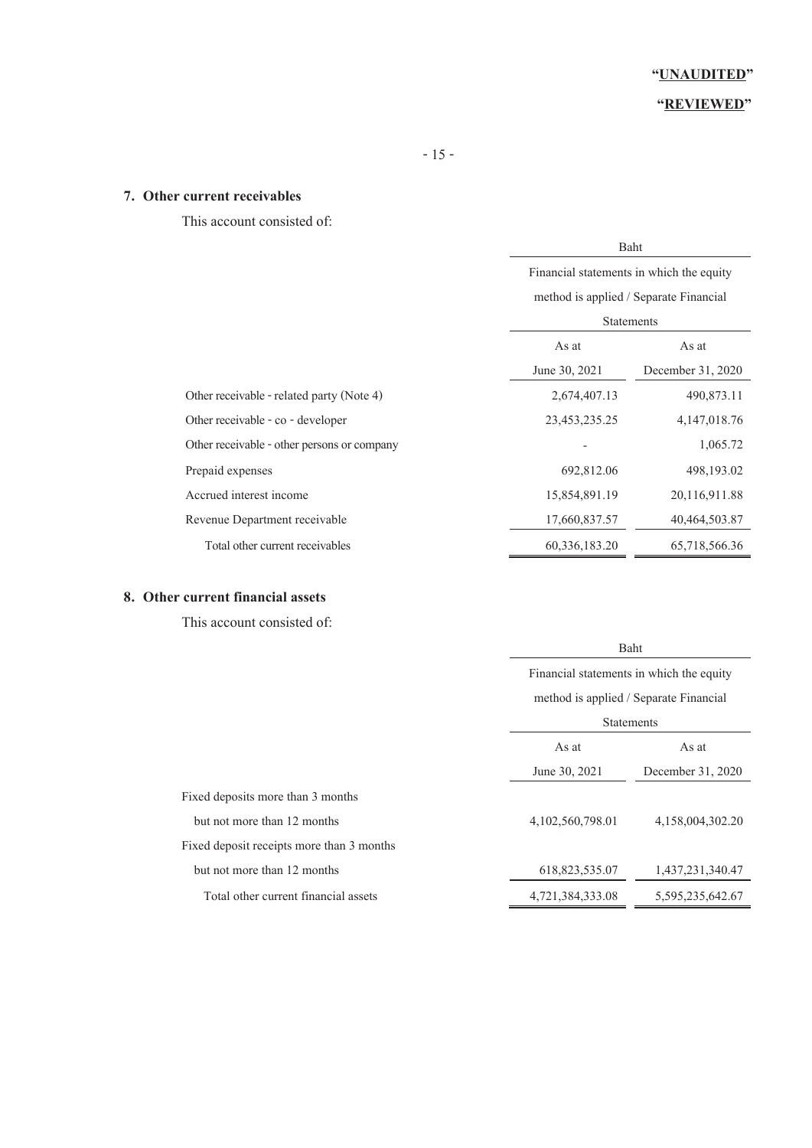# **"REVIEWED"**

## **7. Other current receivables**

This account consisted of:

|                                             | Baht<br>Financial statements in which the equity<br>method is applied / Separate Financial<br><b>Statements</b> |                 |  |
|---------------------------------------------|-----------------------------------------------------------------------------------------------------------------|-----------------|--|
|                                             |                                                                                                                 |                 |  |
|                                             |                                                                                                                 |                 |  |
|                                             |                                                                                                                 |                 |  |
|                                             | As at                                                                                                           | As at           |  |
|                                             | June 30, 2021<br>December 31, 2020                                                                              |                 |  |
| Other receivable - related party (Note 4)   | 2,674,407.13                                                                                                    | 490,873.11      |  |
| Other receivable - co - developer           | 23,453,235.25                                                                                                   | 4, 147, 018. 76 |  |
| Other receivable - other persons or company |                                                                                                                 | 1,065.72        |  |
| Prepaid expenses                            | 692,812.06                                                                                                      | 498, 193.02     |  |
| Accrued interest income                     | 15,854,891.19                                                                                                   | 20,116,911.88   |  |
| Revenue Department receivable               | 17,660,837.57                                                                                                   | 40,464,503.87   |  |
| Total other current receivables             | 60,336,183.20                                                                                                   | 65,718,566.36   |  |

# **8. Other current financial assets**

This account consisted of:

|                                           | Baht                                     |                   |  |
|-------------------------------------------|------------------------------------------|-------------------|--|
|                                           | Financial statements in which the equity |                   |  |
|                                           | method is applied / Separate Financial   |                   |  |
|                                           | <b>Statements</b>                        |                   |  |
|                                           | As at                                    | As at             |  |
|                                           | June 30, 2021                            | December 31, 2020 |  |
| Fixed deposits more than 3 months         |                                          |                   |  |
| but not more than 12 months               | 4,102,560,798.01                         | 4,158,004,302.20  |  |
| Fixed deposit receipts more than 3 months |                                          |                   |  |
| but not more than 12 months               | 618,823,535.07                           | 1,437,231,340.47  |  |
| Total other current financial assets      | 4,721,384,333.08                         | 5,595,235,642.67  |  |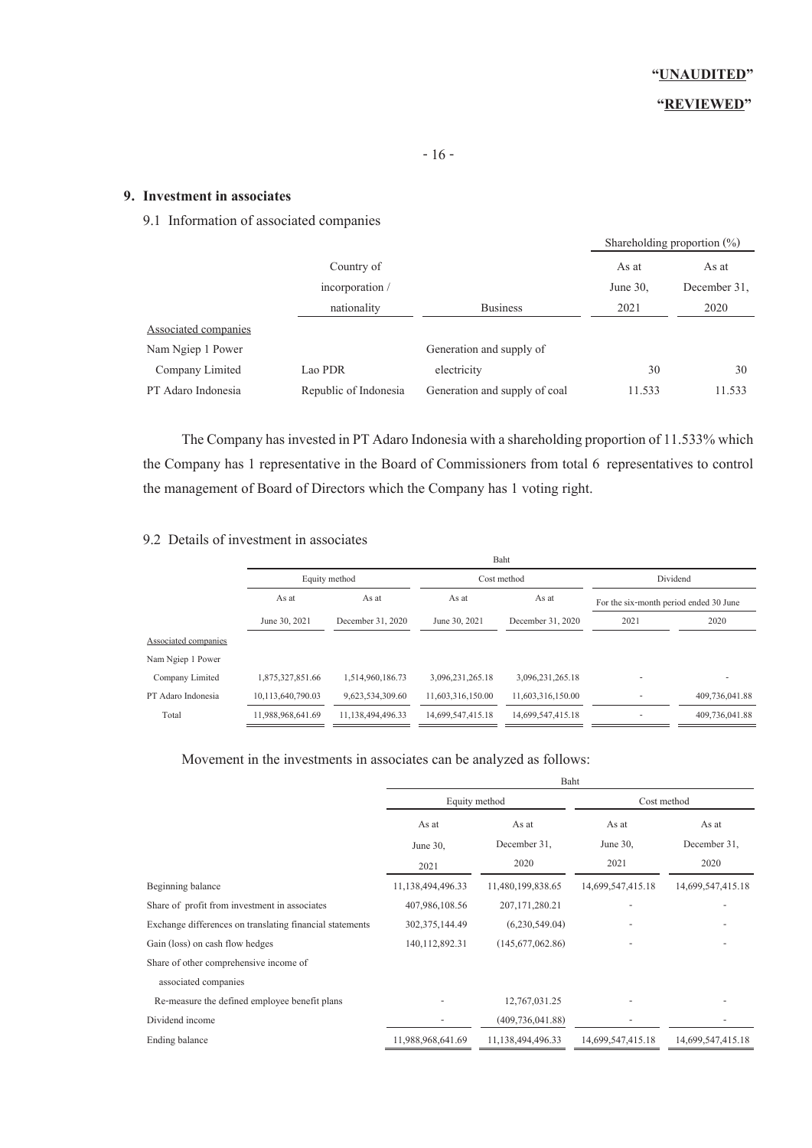# **"REVIEWED"**

# **9. Investment in associates**

9.1 Information of associated companies

|                      |                       |                               |             | Shareholding proportion $(\%)$ |
|----------------------|-----------------------|-------------------------------|-------------|--------------------------------|
|                      | Country of            |                               | As at       | As at                          |
|                      | incorporation/        |                               | June $30$ , | December 31.                   |
|                      | nationality           | <b>Business</b>               | 2021        | 2020                           |
| Associated companies |                       |                               |             |                                |
| Nam Ngiep 1 Power    |                       | Generation and supply of      |             |                                |
| Company Limited      | Lao PDR               | electricity                   | 30          | 30                             |
| PT Adaro Indonesia   | Republic of Indonesia | Generation and supply of coal | 11.533      | 11.533                         |

The Company has invested in PT Adaro Indonesia with a shareholding proportion of 11.533% which the Company has 1 representative in the Board of Commissioners from total 6 representatives to control the management of Board of Directors which the Company has 1 voting right.

### 9.2 Details of investment in associates

|                      |                   |                   |                   | Baht              |                                        |                |
|----------------------|-------------------|-------------------|-------------------|-------------------|----------------------------------------|----------------|
|                      | Equity method     |                   |                   | Cost method       |                                        | Dividend       |
|                      | As at             | As at             | As at             | As at             | For the six-month period ended 30 June |                |
|                      | June 30, 2021     | December 31, 2020 | June 30, 2021     | December 31, 2020 | 2021                                   | 2020           |
| Associated companies |                   |                   |                   |                   |                                        |                |
| Nam Ngiep 1 Power    |                   |                   |                   |                   |                                        |                |
| Company Limited      | 1,875,327,851.66  | 1,514,960,186.73  | 3,096,231,265.18  | 3,096,231,265.18  |                                        |                |
| PT Adaro Indonesia   | 10,113,640,790.03 | 9,623,534,309.60  | 11,603,316,150.00 | 11,603,316,150.00 | $\overline{\phantom{a}}$               | 409,736,041.88 |
| Total                | 11,988,968,641.69 | 11,138,494,496.33 | 14,699,547,415.18 | 14,699,547,415.18 |                                        | 409,736,041.88 |

### Movement in the investments in associates can be analyzed as follows:

|                                                          | Baht              |                    |                   |                       |
|----------------------------------------------------------|-------------------|--------------------|-------------------|-----------------------|
|                                                          | Equity method     |                    | Cost method       |                       |
|                                                          | As at             | As at              | As at             | As at<br>December 31, |
|                                                          | June $30$ ,       | December 31.       | June 30,          |                       |
|                                                          | 2021              | 2020               | 2021              | 2020                  |
| Beginning balance                                        | 11,138,494,496.33 | 11,480,199,838.65  | 14,699,547,415.18 | 14,699,547,415.18     |
| Share of profit from investment in associates            | 407,986,108.56    | 207, 171, 280. 21  |                   |                       |
| Exchange differences on translating financial statements | 302, 375, 144. 49 | (6,230,549,04)     |                   |                       |
| Gain (loss) on cash flow hedges                          | 140, 112, 892. 31 | (145,677,062.86)   |                   |                       |
| Share of other comprehensive income of                   |                   |                    |                   |                       |
| associated companies                                     |                   |                    |                   |                       |
| Re-measure the defined employee benefit plans            |                   | 12,767,031.25      |                   |                       |
| Dividend income                                          |                   | (409, 736, 041.88) |                   |                       |
| Ending balance                                           | 11,988,968,641.69 | 11,138,494,496.33  | 14,699,547,415.18 | 14,699,547,415.18     |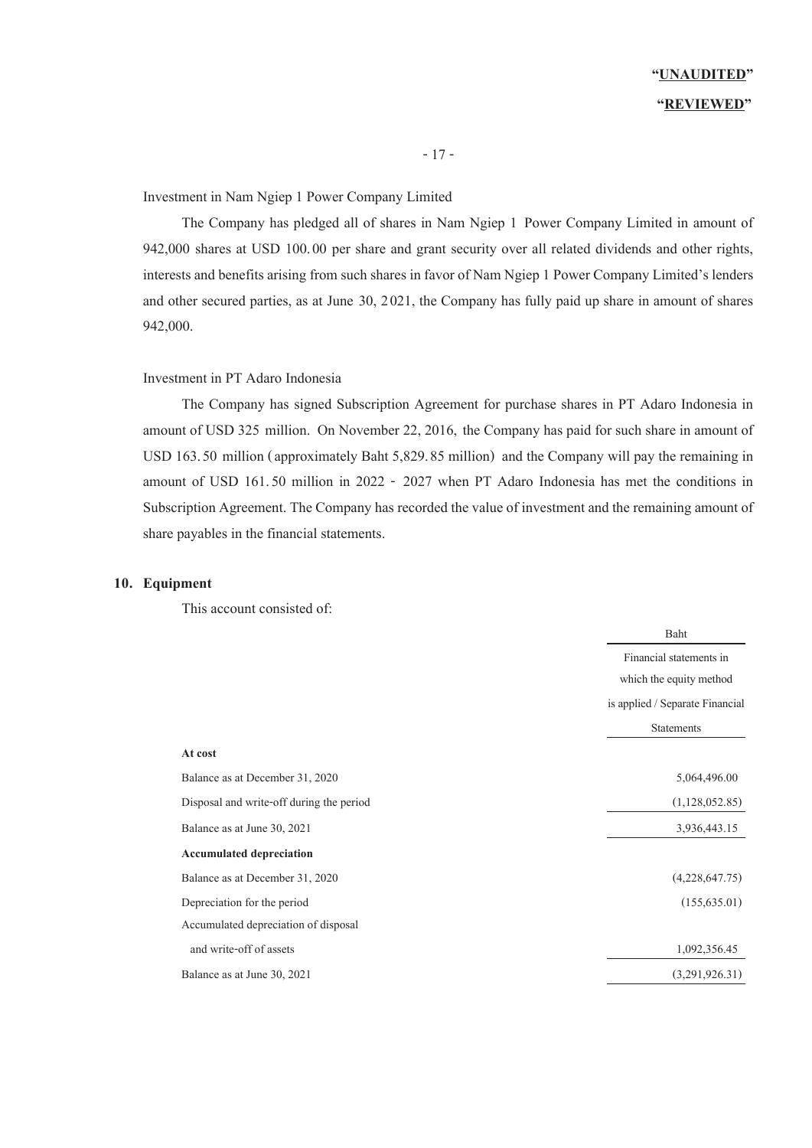Investment in Nam Ngiep 1 Power Company Limited

The Company has pledged all of shares in Nam Ngiep 1 Power Company Limited in amount of 942,000 shares at USD 100.00 per share and grant security over all related dividends and other rights, interests and benefits arising from such shares in favor of Nam Ngiep 1 Power Company Limited's lenders and other secured parties, as at June 30, 2021, the Company has fully paid up share in amount of shares 942,000.

#### Investment in PT Adaro Indonesia

The Company has signed Subscription Agreement for purchase shares in PT Adaro Indonesia in amount of USD 325 million. On November 22, 2016, the Company has paid for such share in amount of USD 163.50 million (approximately Baht 5,829.85 million) and the Company will pay the remaining in amount of USD 161.50 million in 2022 - 2027 when PT Adaro Indonesia has met the conditions in Subscription Agreement. The Company has recorded the value of investment and the remaining amount of share payables in the financial statements.

#### **10. Equipment**

This account consisted of:

|                                          | <b>Baht</b>                     |
|------------------------------------------|---------------------------------|
|                                          | Financial statements in         |
|                                          | which the equity method         |
|                                          | is applied / Separate Financial |
|                                          | <b>Statements</b>               |
| At cost                                  |                                 |
| Balance as at December 31, 2020          | 5,064,496.00                    |
| Disposal and write-off during the period | (1,128,052.85)                  |
| Balance as at June 30, 2021              | 3,936,443.15                    |
| <b>Accumulated depreciation</b>          |                                 |
| Balance as at December 31, 2020          | (4,228,647.75)                  |
| Depreciation for the period              | (155, 635.01)                   |
| Accumulated depreciation of disposal     |                                 |
| and write-off of assets                  | 1,092,356.45                    |
| Balance as at June 30, 2021              | (3,291,926.31)                  |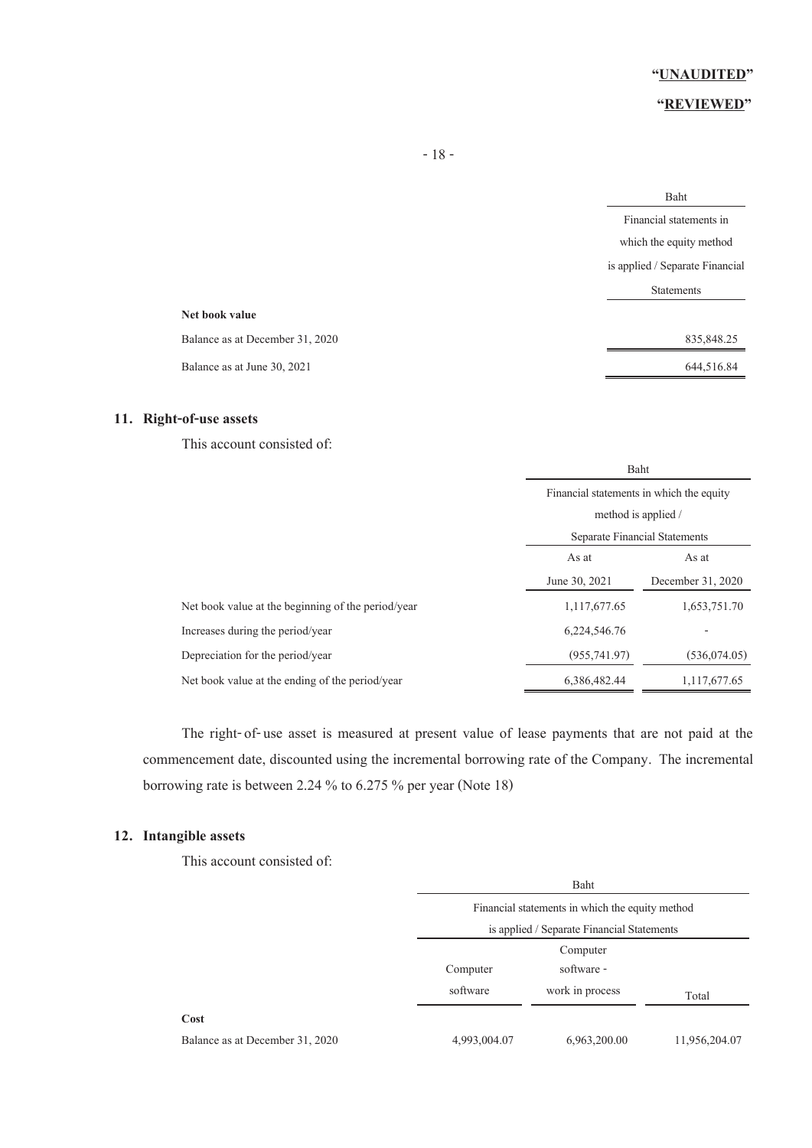### **"REVIEWED"**

|                                 | Baht                            |
|---------------------------------|---------------------------------|
|                                 | Financial statements in         |
|                                 | which the equity method         |
|                                 | is applied / Separate Financial |
|                                 | <b>Statements</b>               |
| Net book value                  |                                 |
| Balance as at December 31, 2020 | 835, 848. 25                    |
| Balance as at June 30, 2021     | 644,516.84                      |
|                                 |                                 |

### **11. Right-of-use assets**

This account consisted of:

|                                                    |                                                                                                  | Baht              |  |  |
|----------------------------------------------------|--------------------------------------------------------------------------------------------------|-------------------|--|--|
|                                                    | Financial statements in which the equity<br>method is applied /<br>Separate Financial Statements |                   |  |  |
|                                                    |                                                                                                  |                   |  |  |
|                                                    |                                                                                                  |                   |  |  |
|                                                    | As at<br>As at                                                                                   |                   |  |  |
|                                                    | June 30, 2021                                                                                    | December 31, 2020 |  |  |
| Net book value at the beginning of the period/year | 1,117,677.65                                                                                     | 1,653,751.70      |  |  |
| Increases during the period/year                   | 6,224,546.76                                                                                     |                   |  |  |
| Depreciation for the period/year                   | (955, 741, 97)                                                                                   | (536,074,05)      |  |  |
| Net book value at the ending of the period/year    | 6,386,482,44                                                                                     | 1, 117, 677. 65   |  |  |

The right-of-use asset is measured at present value of lease payments that are not paid at the commencement date, discounted using the incremental borrowing rate of the Company. The incremental borrowing rate is between 2.24 % to 6.275 % per year (Note 18)

### **12. Intangible assets**

This account consisted of:

|                                 | Baht                                            |                 |               |  |
|---------------------------------|-------------------------------------------------|-----------------|---------------|--|
|                                 | Financial statements in which the equity method |                 |               |  |
|                                 | is applied / Separate Financial Statements      |                 |               |  |
|                                 | Computer                                        |                 |               |  |
|                                 | software -<br>Computer                          |                 |               |  |
|                                 | software                                        | work in process | Total         |  |
| Cost                            |                                                 |                 |               |  |
| Balance as at December 31, 2020 | 4,993,004.07                                    | 6,963,200.00    | 11,956,204.07 |  |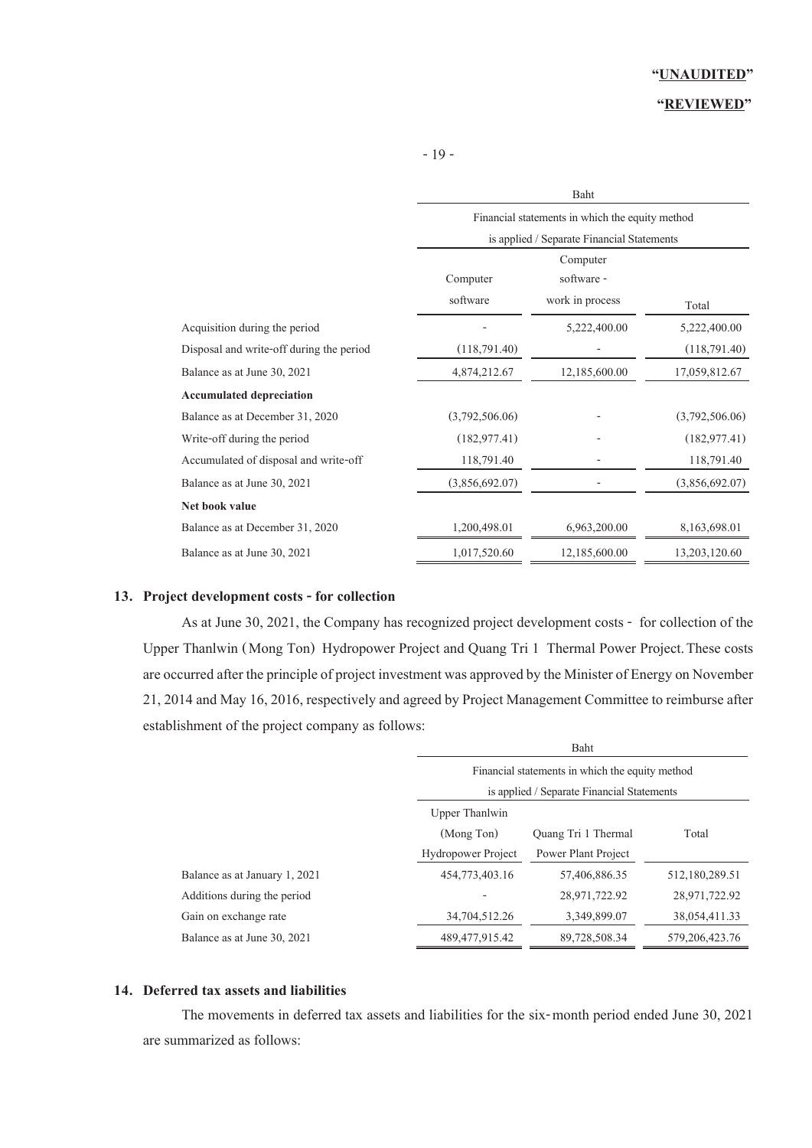## **"REVIEWED"**

- 19 -

|                                          | <b>Baht</b>                                     |                 |                |  |  |
|------------------------------------------|-------------------------------------------------|-----------------|----------------|--|--|
|                                          | Financial statements in which the equity method |                 |                |  |  |
|                                          | is applied / Separate Financial Statements      |                 |                |  |  |
|                                          |                                                 | Computer        |                |  |  |
|                                          | Computer                                        | software -      |                |  |  |
|                                          | software                                        | work in process | Total          |  |  |
| Acquisition during the period            |                                                 | 5,222,400.00    | 5,222,400.00   |  |  |
| Disposal and write-off during the period | (118,791.40)                                    |                 | (118,791.40)   |  |  |
| Balance as at June 30, 2021              | 4,874,212.67                                    | 12,185,600.00   | 17,059,812.67  |  |  |
| <b>Accumulated depreciation</b>          |                                                 |                 |                |  |  |
| Balance as at December 31, 2020          | (3,792,506.06)                                  |                 | (3,792,506.06) |  |  |
| Write-off during the period              | (182, 977, 41)                                  |                 | (182, 977, 41) |  |  |
| Accumulated of disposal and write-off    | 118,791.40                                      |                 | 118,791.40     |  |  |
| Balance as at June 30, 2021              | (3,856,692.07)                                  |                 | (3,856,692.07) |  |  |
| Net book value                           |                                                 |                 |                |  |  |
| Balance as at December 31, 2020          | 1,200,498.01                                    | 6,963,200.00    | 8,163,698.01   |  |  |
| Balance as at June 30, 2021              | 1,017,520.60                                    | 12,185,600.00   | 13,203,120.60  |  |  |

#### **13. Project development costs - for collection**

As at June 30, 2021, the Company has recognized project development costs - for collection of the Upper Thanlwin (Mong Ton) Hydropower Project and Quang Tri 1 Thermal Power Project.These costs are occurred after the principle of project investment was approved by the Minister of Energy on November 21, 2014and May 16, 2016, respectively and agreed by Project Management Committee to reimburse after establishment of the project company as follows:

|                               | Baht                                             |                            |                   |  |  |
|-------------------------------|--------------------------------------------------|----------------------------|-------------------|--|--|
|                               | Financial statements in which the equity method  |                            |                   |  |  |
|                               | is applied / Separate Financial Statements       |                            |                   |  |  |
|                               | Upper Thanlwin                                   |                            |                   |  |  |
|                               | (Mong Ton)                                       | <b>Ouang Tri 1 Thermal</b> | Total             |  |  |
|                               | <b>Hydropower Project</b><br>Power Plant Project |                            |                   |  |  |
| Balance as at January 1, 2021 | 454,773,403.16                                   | 57,406,886.35              | 512,180,289.51    |  |  |
| Additions during the period   |                                                  | 28,971,722.92              | 28,971,722,92     |  |  |
| Gain on exchange rate         | 34,704,512.26                                    | 3,349,899.07               | 38,054,411.33     |  |  |
| Balance as at June 30, 2021   | 489, 477, 915, 42                                | 89,728,508.34              | 579, 206, 423, 76 |  |  |

#### **14. Deferred tax assets and liabilities**

The movements in deferred tax assets and liabilities for the six-month period ended June 30, 2021 are summarized as follows: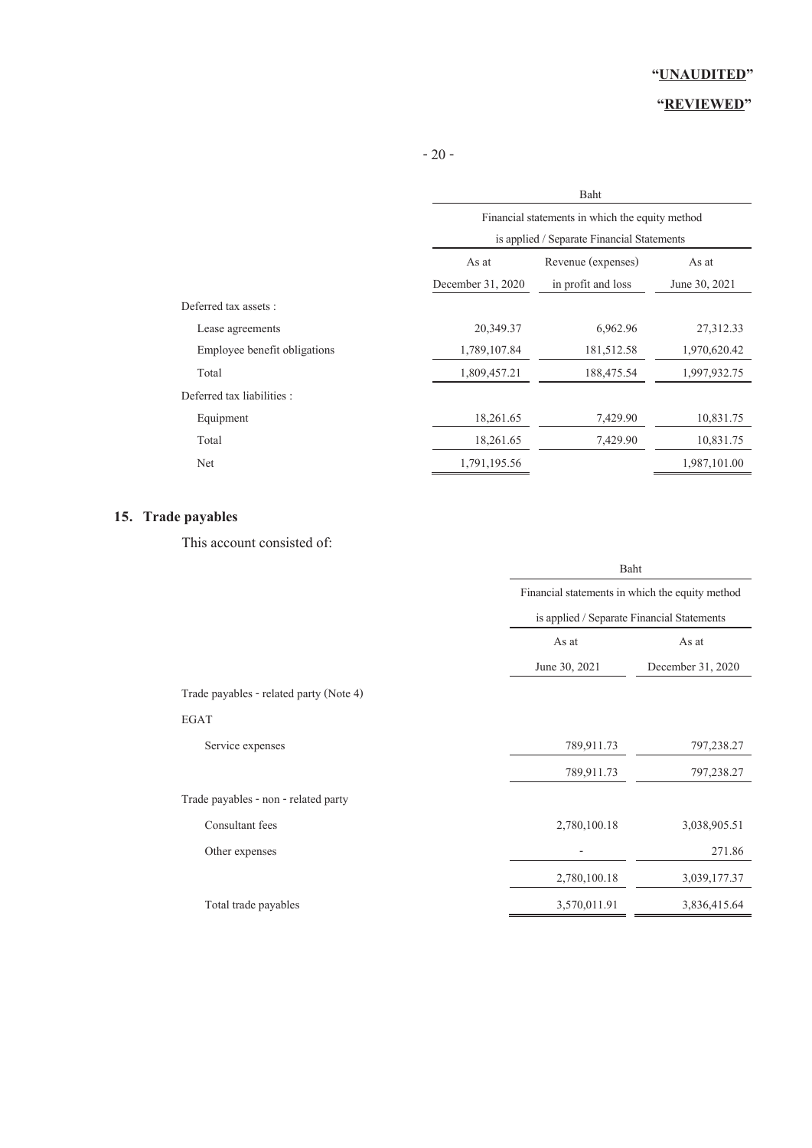# **"REVIEWED"**

- 20 -

|                              | Baht                                                                                          |                    |               |  |  |
|------------------------------|-----------------------------------------------------------------------------------------------|--------------------|---------------|--|--|
|                              | Financial statements in which the equity method<br>is applied / Separate Financial Statements |                    |               |  |  |
|                              | As at                                                                                         | Revenue (expenses) | As at         |  |  |
|                              | December 31, 2020                                                                             | in profit and loss | June 30, 2021 |  |  |
| Deferred tax assets :        |                                                                                               |                    |               |  |  |
| Lease agreements             | 20,349.37                                                                                     | 6,962.96           | 27,312.33     |  |  |
| Employee benefit obligations | 1,789,107.84                                                                                  | 181,512.58         | 1,970,620.42  |  |  |
| Total                        | 1,809,457.21                                                                                  | 188,475.54         | 1,997,932.75  |  |  |
| Deferred tax liabilities :   |                                                                                               |                    |               |  |  |
| Equipment                    | 18,261.65                                                                                     | 7,429.90           | 10,831.75     |  |  |
| Total                        | 18,261.65                                                                                     | 7,429.90           | 10,831.75     |  |  |
| Net                          | 1,791,195.56                                                                                  |                    | 1,987,101.00  |  |  |

# **15. Trade payables**

This account consisted of:

|                                         | Baht<br>Financial statements in which the equity method<br>is applied / Separate Financial Statements |                   |  |
|-----------------------------------------|-------------------------------------------------------------------------------------------------------|-------------------|--|
|                                         |                                                                                                       |                   |  |
|                                         |                                                                                                       |                   |  |
|                                         | As at                                                                                                 | As at             |  |
|                                         | June 30, 2021                                                                                         | December 31, 2020 |  |
| Trade payables - related party (Note 4) |                                                                                                       |                   |  |
| EGAT                                    |                                                                                                       |                   |  |
| Service expenses                        | 789,911.73                                                                                            | 797,238.27        |  |
|                                         | 789,911.73                                                                                            | 797,238.27        |  |
| Trade payables - non - related party    |                                                                                                       |                   |  |
| Consultant fees                         | 2,780,100.18                                                                                          | 3,038,905.51      |  |
| Other expenses                          |                                                                                                       | 271.86            |  |
|                                         | 2,780,100.18                                                                                          | 3,039,177.37      |  |
| Total trade payables                    | 3,570,011.91                                                                                          | 3,836,415.64      |  |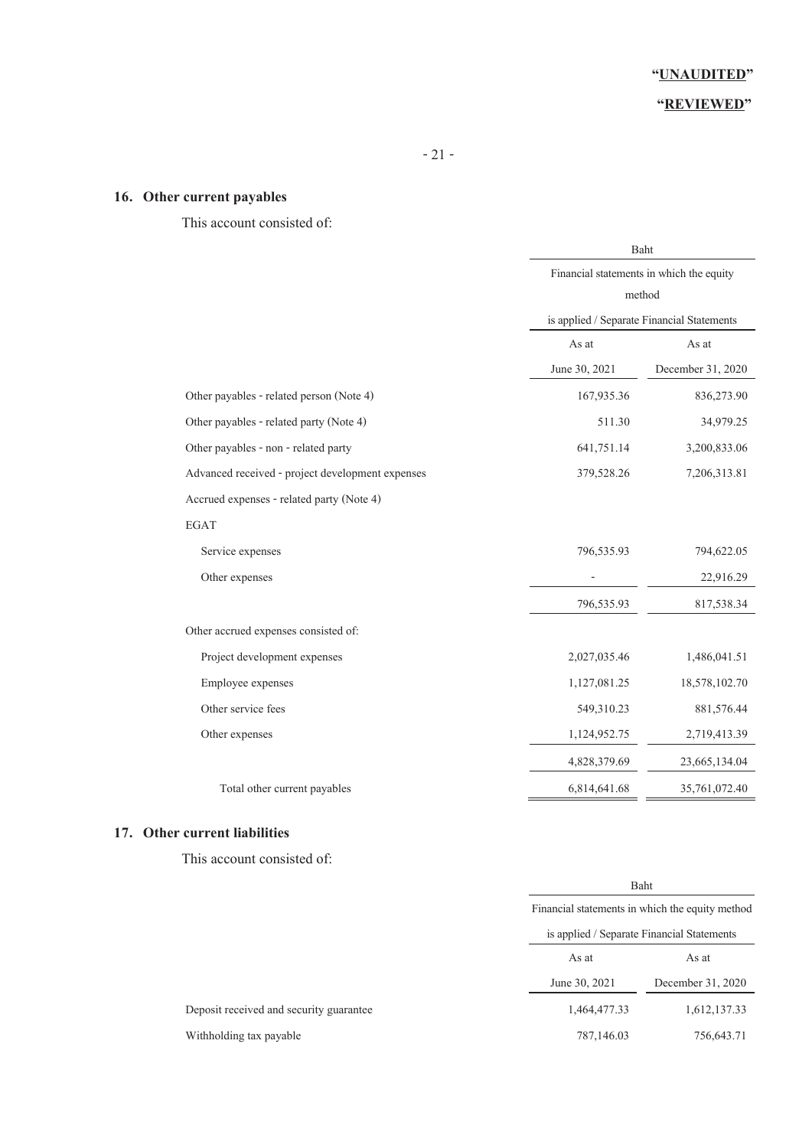# **"REVIEWED"**

# **16. Other current payables**

# This account consisted of:

|                                                  | Baht                                     |                                            |  |
|--------------------------------------------------|------------------------------------------|--------------------------------------------|--|
|                                                  | Financial statements in which the equity |                                            |  |
|                                                  | method                                   |                                            |  |
|                                                  |                                          | is applied / Separate Financial Statements |  |
|                                                  | As at                                    | As at                                      |  |
|                                                  | June 30, 2021                            | December 31, 2020                          |  |
| Other payables - related person (Note 4)         | 167,935.36                               | 836,273.90                                 |  |
| Other payables - related party (Note 4)          | 511.30                                   | 34,979.25                                  |  |
| Other payables - non - related party             | 641,751.14                               | 3,200,833.06                               |  |
| Advanced received - project development expenses | 379,528.26<br>7,206,313.81               |                                            |  |
| Accrued expenses - related party (Note 4)        |                                          |                                            |  |
| <b>EGAT</b>                                      |                                          |                                            |  |
| Service expenses                                 | 796,535.93                               | 794,622.05                                 |  |
| Other expenses                                   |                                          | 22,916.29                                  |  |
|                                                  | 796,535.93                               | 817,538.34                                 |  |
| Other accrued expenses consisted of:             |                                          |                                            |  |
| Project development expenses                     | 2,027,035.46                             | 1,486,041.51                               |  |
| Employee expenses                                | 1,127,081.25                             | 18,578,102.70                              |  |
| Other service fees                               | 549,310.23                               | 881,576.44                                 |  |
| Other expenses                                   | 1,124,952.75                             | 2,719,413.39                               |  |
|                                                  | 4,828,379.69                             | 23,665,134.04                              |  |
| Total other current payables                     | 6,814,641.68                             | 35,761,072.40                              |  |

## **17. Other current liabilities**

This account consisted of:

|                                         |  | Baht<br>Financial statements in which the equity method |              |  |
|-----------------------------------------|--|---------------------------------------------------------|--------------|--|
|                                         |  |                                                         |              |  |
|                                         |  | is applied / Separate Financial Statements              |              |  |
|                                         |  | As at<br>As at                                          |              |  |
|                                         |  | December 31, 2020<br>June 30, 2021                      |              |  |
| Deposit received and security guarantee |  | 1,464,477.33                                            | 1,612,137.33 |  |
| Withholding tax payable                 |  | 787,146.03                                              | 756,643.71   |  |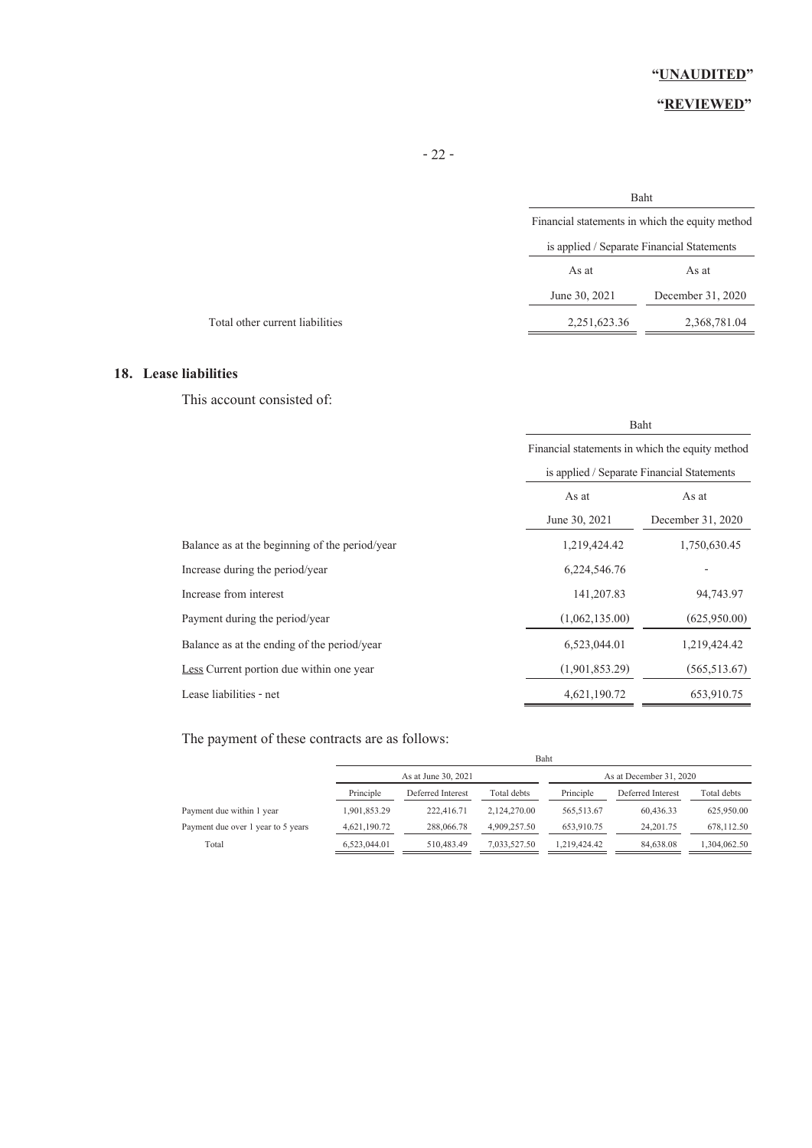# **"REVIEWED"**

|               | Baht                                            |  |  |
|---------------|-------------------------------------------------|--|--|
|               | Financial statements in which the equity method |  |  |
|               | is applied / Separate Financial Statements      |  |  |
| As at         | As at                                           |  |  |
| June 30, 2021 | December 31, 2020                               |  |  |
| 2,251,623.36  | 2,368,781.04                                    |  |  |
|               |                                                 |  |  |

### **18. Lease liabilities**

This account consisted of:

|                                                | Baht                                            |                   |  |
|------------------------------------------------|-------------------------------------------------|-------------------|--|
|                                                | Financial statements in which the equity method |                   |  |
|                                                | is applied / Separate Financial Statements      |                   |  |
|                                                | As at<br>As at                                  |                   |  |
|                                                | June 30, 2021                                   | December 31, 2020 |  |
| Balance as at the beginning of the period/year | 1,219,424.42                                    | 1,750,630.45      |  |
| Increase during the period/year                | 6,224,546.76                                    |                   |  |
| Increase from interest                         | 141, 207.83                                     | 94,743.97         |  |
| Payment during the period/year                 | (1,062,135.00)                                  | (625,950.00)      |  |
| Balance as at the ending of the period/year    | 6,523,044.01                                    | 1,219,424.42      |  |
| Less Current portion due within one year       | (1,901,853,29)                                  | (565, 513, 67)    |  |
| Lease liabilities - net                        | 4,621,190.72                                    | 653,910.75        |  |

# The payment of these contracts are as follows:

|                                    |              | Baht                |              |              |                         |              |
|------------------------------------|--------------|---------------------|--------------|--------------|-------------------------|--------------|
|                                    |              | As at June 30, 2021 |              |              | As at December 31, 2020 |              |
|                                    | Principle    | Deferred Interest   | Total debts  | Principle    | Deferred Interest       | Total debts  |
| Payment due within 1 year          | 1,901,853.29 | 222,416.71          | 2.124.270.00 | 565,513.67   | 60.436.33               | 625,950.00   |
| Payment due over 1 year to 5 years | 4,621,190.72 | 288,066.78          | 4,909,257.50 | 653,910.75   | 24.201.75               | 678,112.50   |
| Total                              | 6,523,044.01 | 510,483.49          | 7,033,527.50 | 1,219,424.42 | 84,638.08               | 1,304,062.50 |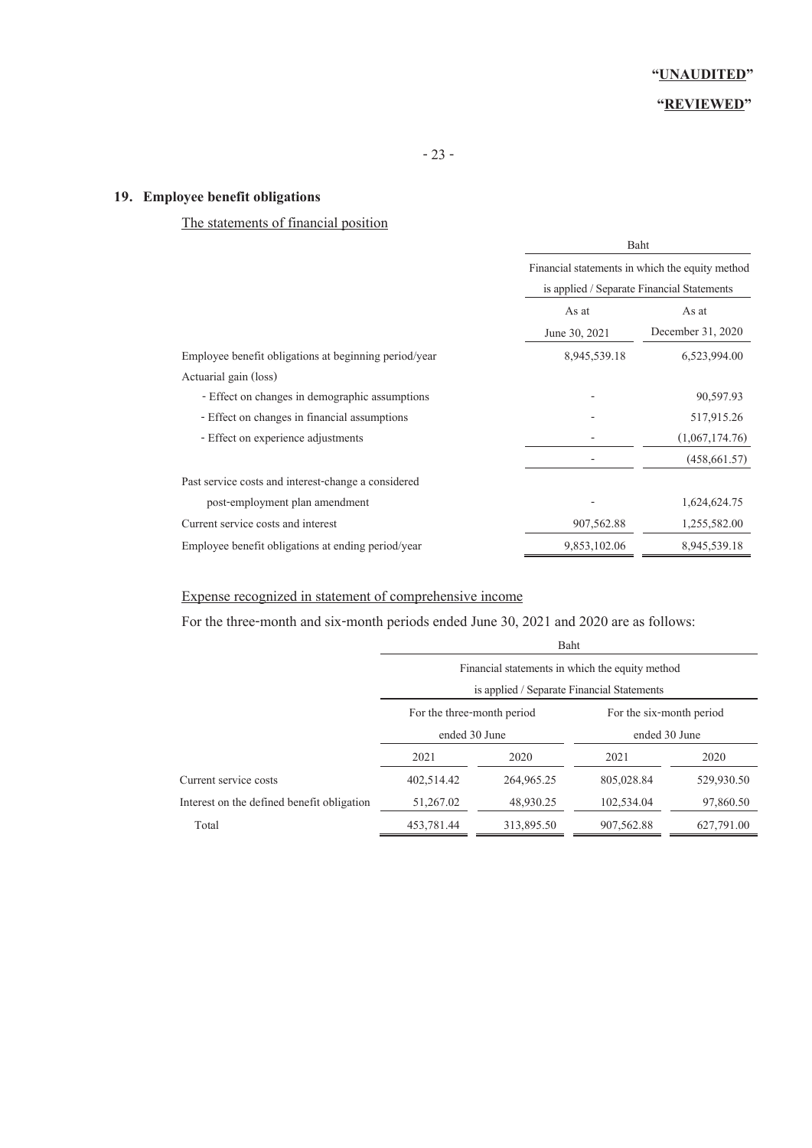# **19. Employee benefit obligations**

# The statements of financial position

|                                                       | Baht<br>Financial statements in which the equity method<br>is applied / Separate Financial Statements |                            |  |
|-------------------------------------------------------|-------------------------------------------------------------------------------------------------------|----------------------------|--|
|                                                       |                                                                                                       |                            |  |
|                                                       | As at<br>June 30, 2021                                                                                | As at<br>December 31, 2020 |  |
| Employee benefit obligations at beginning period/year | 8,945,539.18                                                                                          | 6,523,994.00               |  |
| Actuarial gain (loss)                                 |                                                                                                       |                            |  |
| - Effect on changes in demographic assumptions        |                                                                                                       | 90,597.93                  |  |
| - Effect on changes in financial assumptions          |                                                                                                       | 517,915.26                 |  |
| - Effect on experience adjustments                    |                                                                                                       | (1,067,174.76)             |  |
|                                                       |                                                                                                       | (458, 661.57)              |  |
| Past service costs and interest-change a considered   |                                                                                                       |                            |  |
| post-employment plan amendment                        |                                                                                                       | 1,624,624.75               |  |
| Current service costs and interest                    | 907,562.88                                                                                            | 1,255,582.00               |  |
| Employee benefit obligations at ending period/year    | 9,853,102.06                                                                                          | 8,945,539.18               |  |

# Expense recognized in statement of comprehensive income

For the three-month and six-month periods ended June 30, 2021 and 2020 are as follows:

|                                            | Baht                                                                                          |            |                          |            |  |  |
|--------------------------------------------|-----------------------------------------------------------------------------------------------|------------|--------------------------|------------|--|--|
|                                            | Financial statements in which the equity method<br>is applied / Separate Financial Statements |            |                          |            |  |  |
|                                            |                                                                                               |            |                          |            |  |  |
|                                            | For the three-month period<br>ended 30 June                                                   |            | For the six-month period |            |  |  |
|                                            |                                                                                               |            | ended 30 June            |            |  |  |
|                                            | 2021                                                                                          | 2020       | 2021                     | 2020       |  |  |
| Current service costs                      | 402,514.42                                                                                    | 264,965.25 | 805,028.84               | 529,930.50 |  |  |
| Interest on the defined benefit obligation | 51,267.02                                                                                     | 48,930.25  | 102,534.04               | 97,860.50  |  |  |
| Total                                      | 453,781.44                                                                                    | 313,895.50 | 907, 562.88              | 627,791.00 |  |  |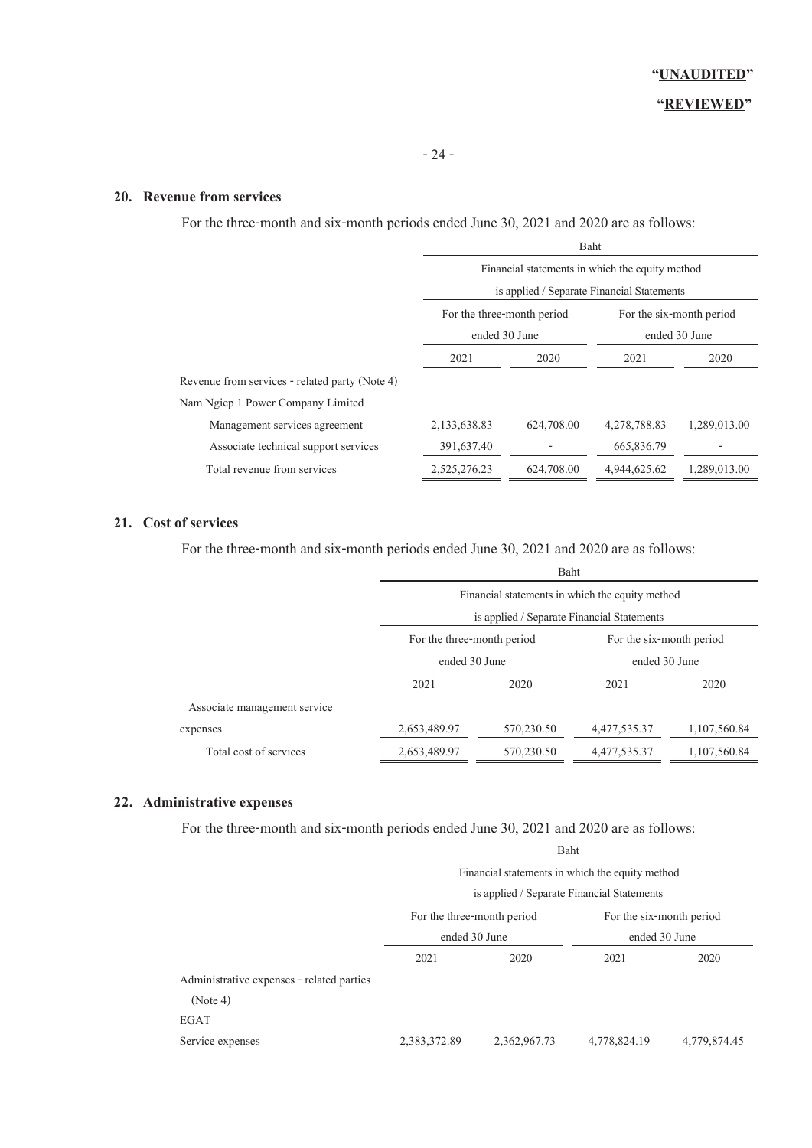#### **20. Revenue from services**

For the three-month and six-month periods ended June 30, 2021 and 2020 are as follows:

|                                                | Baht                                                                                          |            |                                           |              |  |
|------------------------------------------------|-----------------------------------------------------------------------------------------------|------------|-------------------------------------------|--------------|--|
|                                                | Financial statements in which the equity method<br>is applied / Separate Financial Statements |            |                                           |              |  |
|                                                | For the three-month period<br>ended 30 June                                                   |            | For the six-month period<br>ended 30 June |              |  |
|                                                | 2021<br>2020                                                                                  |            | 2021                                      | 2020         |  |
| Revenue from services - related party (Note 4) |                                                                                               |            |                                           |              |  |
| Nam Ngiep 1 Power Company Limited              |                                                                                               |            |                                           |              |  |
| Management services agreement                  | 2,133,638.83                                                                                  | 624,708.00 | 4,278,788.83                              | 1,289,013.00 |  |
| Associate technical support services           | 391,637.40                                                                                    |            | 665,836.79                                |              |  |
| Total revenue from services                    | 2,525,276.23                                                                                  | 624,708.00 | 4,944,625.62                              | 1,289,013.00 |  |

# **21. Cost of services**

For the three-month and six-month periods ended June 30, 2021 and 2020 are as follows:

|                              |                                                 | Baht                                       |                          |              |  |  |
|------------------------------|-------------------------------------------------|--------------------------------------------|--------------------------|--------------|--|--|
|                              | Financial statements in which the equity method |                                            |                          |              |  |  |
|                              |                                                 | is applied / Separate Financial Statements |                          |              |  |  |
|                              | For the three-month period                      |                                            | For the six-month period |              |  |  |
|                              | ended 30 June                                   |                                            | ended 30 June            |              |  |  |
|                              | 2021                                            | 2020                                       | 2021                     | 2020         |  |  |
| Associate management service |                                                 |                                            |                          |              |  |  |
| expenses                     | 2,653,489.97                                    | 570,230.50                                 | 4,477,535.37             | 1,107,560.84 |  |  |
| Total cost of services       | 2,653,489.97                                    | 570,230.50                                 | 4,477,535.37             | 1,107,560.84 |  |  |

### **22. Administrative expenses**

For the three-month and six-month periods ended June 30, 2021 and 2020 are as follows:

|                                           | Financial statements in which the equity method<br>is applied / Separate Financial Statements |              |                                           |              |  |
|-------------------------------------------|-----------------------------------------------------------------------------------------------|--------------|-------------------------------------------|--------------|--|
|                                           | For the three-month period<br>ended 30 June                                                   |              | For the six-month period<br>ended 30 June |              |  |
|                                           | 2021                                                                                          | 2020         | 2021                                      | 2020         |  |
| Administrative expenses - related parties |                                                                                               |              |                                           |              |  |
| (Note 4)                                  |                                                                                               |              |                                           |              |  |
| EGAT                                      |                                                                                               |              |                                           |              |  |
| Service expenses                          | 2,383,372.89                                                                                  | 2,362,967.73 | 4,778,824.19                              | 4,779,874.45 |  |

Baht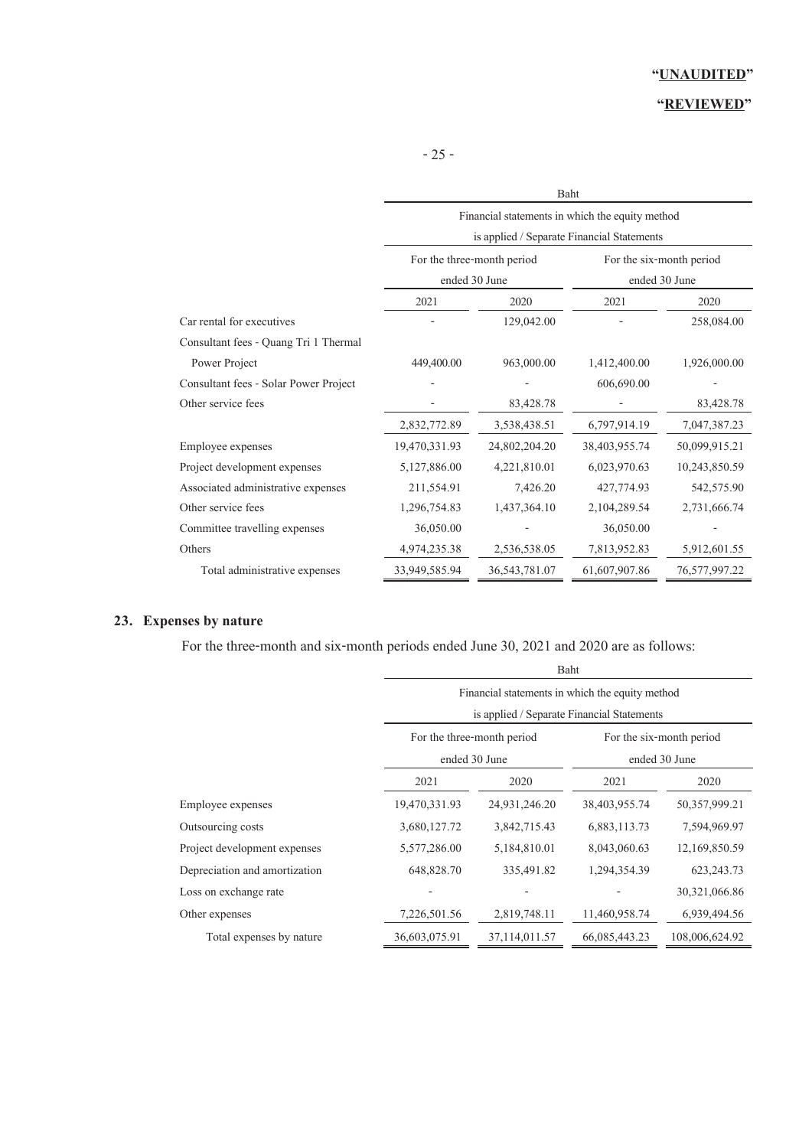# **"REVIEWED"**

|                                       | Baht                                                               |                                                 |                          |               |  |  |
|---------------------------------------|--------------------------------------------------------------------|-------------------------------------------------|--------------------------|---------------|--|--|
|                                       |                                                                    | Financial statements in which the equity method |                          |               |  |  |
|                                       | is applied / Separate Financial Statements                         |                                                 |                          |               |  |  |
|                                       |                                                                    | For the three-month period                      | For the six-month period |               |  |  |
|                                       |                                                                    | ended 30 June                                   |                          | ended 30 June |  |  |
|                                       | 2021                                                               | 2020                                            | 2021                     | 2020          |  |  |
| Car rental for executives             |                                                                    | 129,042.00                                      |                          | 258,084.00    |  |  |
| Consultant fees - Quang Tri 1 Thermal |                                                                    |                                                 |                          |               |  |  |
| Power Project                         | 449,400.00                                                         | 963,000.00                                      | 1,412,400.00             | 1,926,000.00  |  |  |
| Consultant fees - Solar Power Project |                                                                    |                                                 | 606,690.00               |               |  |  |
| Other service fees                    |                                                                    | 83,428.78                                       |                          | 83,428.78     |  |  |
|                                       | 2,832,772.89                                                       | 3,538,438.51                                    | 6,797,914.19             | 7,047,387.23  |  |  |
| Employee expenses                     | 19,470,331.93                                                      | 24,802,204.20                                   | 38,403,955.74            | 50,099,915.21 |  |  |
| Project development expenses          | 5,127,886.00                                                       | 4,221,810.01                                    | 6,023,970.63             | 10,243,850.59 |  |  |
| Associated administrative expenses    | 211,554.91                                                         | 7,426.20                                        | 427,774.93               | 542,575.90    |  |  |
| Other service fees                    | 1,296,754.83                                                       | 1,437,364.10                                    | 2,104,289.54             | 2,731,666.74  |  |  |
| Committee travelling expenses         | 36,050.00                                                          |                                                 | 36,050.00                |               |  |  |
| Others                                | 4,974,235.38                                                       | 2,536,538.05                                    | 7,813,952.83             | 5,912,601.55  |  |  |
| Total administrative expenses         | 33,949,585.94<br>36, 543, 781.07<br>61,607,907.86<br>76,577,997.22 |                                                 |                          |               |  |  |

# **23. Expenses by nature**

For the three-month and six-month periods ended June 30, 2021 and 2020 are as follows:

|                               | Baht                       |                                                                                               |               |                |  |  |  |
|-------------------------------|----------------------------|-----------------------------------------------------------------------------------------------|---------------|----------------|--|--|--|
|                               |                            | Financial statements in which the equity method<br>is applied / Separate Financial Statements |               |                |  |  |  |
|                               |                            |                                                                                               |               |                |  |  |  |
|                               | For the three-month period | For the six-month period                                                                      |               |                |  |  |  |
|                               |                            | ended 30 June                                                                                 |               | ended 30 June  |  |  |  |
|                               | 2021                       | 2020                                                                                          | 2021          | 2020           |  |  |  |
| Employee expenses             | 19,470,331.93              | 24,931,246.20                                                                                 | 38,403,955.74 | 50,357,999.21  |  |  |  |
| Outsourcing costs             | 3,680,127.72               | 3,842,715.43                                                                                  | 6,883,113.73  | 7,594,969.97   |  |  |  |
| Project development expenses  | 5,577,286.00               | 5,184,810.01                                                                                  | 8,043,060.63  | 12,169,850.59  |  |  |  |
| Depreciation and amortization | 648,828.70                 | 335,491.82                                                                                    | 1,294,354.39  | 623, 243. 73   |  |  |  |
| Loss on exchange rate         |                            |                                                                                               |               | 30,321,066.86  |  |  |  |
| Other expenses                | 7,226,501.56               | 2,819,748.11                                                                                  | 11,460,958.74 | 6,939,494.56   |  |  |  |
| Total expenses by nature      | 36,603,075.91              | 37,114,011.57                                                                                 | 66,085,443.23 | 108,006,624.92 |  |  |  |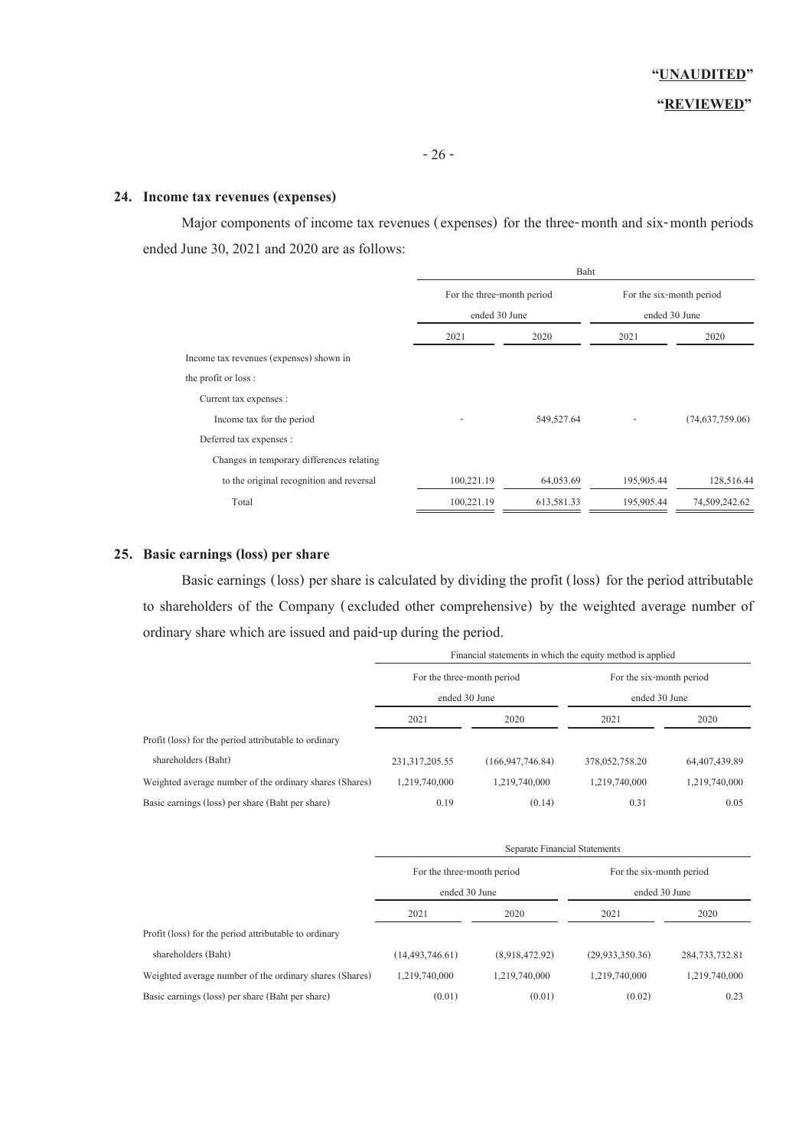### **24. Income tax revenues (expenses)**

Major components of income tax revenues (expenses) for the three-month and six-month periods ended June 30, 2021 and 2020 are as follows:

|                                           | Baht                       |            |                                           |                 |  |
|-------------------------------------------|----------------------------|------------|-------------------------------------------|-----------------|--|
|                                           | For the three-month period |            | For the six-month period<br>ended 30 June |                 |  |
|                                           | ended 30 June              |            |                                           |                 |  |
|                                           | 2021                       | 2020       | 2021                                      | 2020            |  |
| Income tax revenues (expenses) shown in   |                            |            |                                           |                 |  |
| the profit or loss:                       |                            |            |                                           |                 |  |
| Current tax expenses :                    |                            |            |                                           |                 |  |
| Income tax for the period                 |                            | 549,527.64 |                                           | (74,637,759.06) |  |
| Deferred tax expenses :                   |                            |            |                                           |                 |  |
| Changes in temporary differences relating |                            |            |                                           |                 |  |
| to the original recognition and reversal  | 100,221.19                 | 64,053.69  | 195,905.44                                | 128,516.44      |  |
| Total                                     | 100,221.19                 | 613,581.33 | 195,905.44                                | 74,509,242.62   |  |

#### **25. Basic earnings (loss) per share**

 Basic earnings (loss) per share is calculated by dividing the profit (loss) for the period attributable to shareholders of the Company (excluded other comprehensive) by the weighted average number of ordinary share which are issued and paid-up during the period.

|                                                         | Financial statements in which the equity method is applied |                     |                                           |               |  |
|---------------------------------------------------------|------------------------------------------------------------|---------------------|-------------------------------------------|---------------|--|
|                                                         | For the three-month period<br>ended 30 June                |                     | For the six-month period<br>ended 30 June |               |  |
|                                                         |                                                            |                     |                                           |               |  |
|                                                         | 2021                                                       | 2020                | 2021                                      | 2020          |  |
| Profit (loss) for the period attributable to ordinary   |                                                            |                     |                                           |               |  |
| shareholders (Baht)                                     | 231, 317, 205.55                                           | (166, 947, 746, 84) | 378,052,758.20                            | 64,407,439.89 |  |
| Weighted average number of the ordinary shares (Shares) | 1,219,740,000                                              | 1,219,740,000       | 1,219,740,000                             | 1,219,740,000 |  |
| Basic earnings (loss) per share (Baht per share)        | 0.19                                                       | (0.14)              | 0.31                                      | 0.05          |  |

|                                                         | Separate Financial Statements               |                |                                           |                  |  |
|---------------------------------------------------------|---------------------------------------------|----------------|-------------------------------------------|------------------|--|
|                                                         | For the three-month period<br>ended 30 June |                | For the six-month period<br>ended 30 June |                  |  |
|                                                         |                                             |                |                                           |                  |  |
|                                                         | 2021                                        | 2020           | 2021                                      | 2020             |  |
| Profit (loss) for the period attributable to ordinary   |                                             |                |                                           |                  |  |
| shareholders (Baht)                                     | (14, 493, 746.61)                           | (8,918,472,92) | (29, 933, 350, 36)                        | 284, 733, 732.81 |  |
| Weighted average number of the ordinary shares (Shares) | 1,219,740,000                               | 1,219,740,000  | 1,219,740,000                             | 1,219,740,000    |  |
| Basic earnings (loss) per share (Baht per share)        | (0.01)                                      | (0.01)         | (0.02)                                    | 0.23             |  |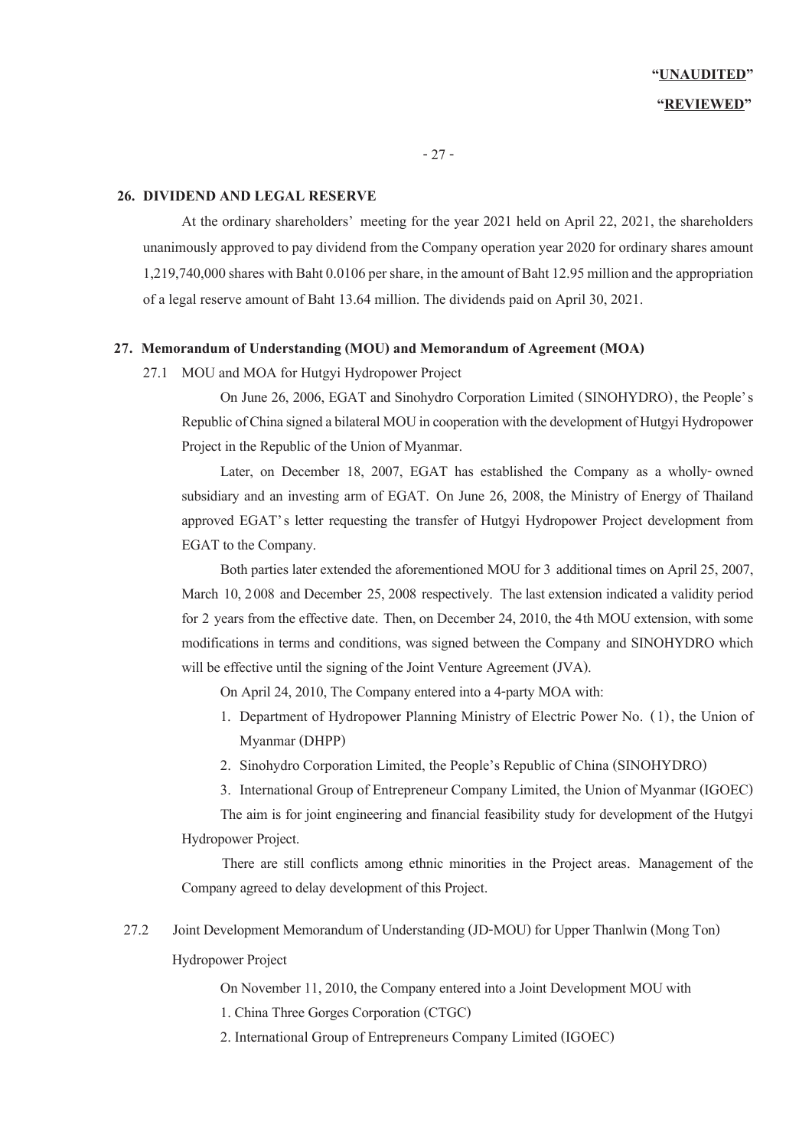- 27 -

#### **26. DIVIDEND AND LEGAL RESERVE**

At the ordinary shareholders' meeting for the year 2021 held on April 22, 2021, the shareholders unanimously approved to pay dividend from the Company operation year 2020 for ordinary shares amount 1,219,740,000 shares with Baht 0.0106 per share, in the amount of Baht 12.95 million and the appropriation of a legal reserve amount of Baht 13.64 million. The dividends paid on April 30, 2021.

### **27. Memorandum of Understanding (MOU) and Memorandum of Agreement (MOA)**

27.1 MOU and MOA for Hutgyi Hydropower Project

On June 26, 2006, EGAT and Sinohydro Corporation Limited (SINOHYDRO), the People's Republic of China signed a bilateral MOU in cooperation with the development of Hutgyi Hydropower Project in the Republic of the Union of Myanmar.

Later, on December 18, 2007, EGAT has established the Company as a wholly-owned subsidiary and an investing arm of EGAT. On June 26, 2008, the Ministry of Energy of Thailand approved EGAT's letter requesting the transfer of Hutgyi Hydropower Project development from EGAT to the Company.

Both parties later extended the aforementioned MOU for 3 additional times on April 25, 2007, March 10, 2008 and December 25, 2008 respectively. The last extension indicated a validity period for 2 years from the effective date. Then, on December 24, 2010, the 4th MOU extension, with some modifications in terms and conditions, was signed between the Company and SINOHYDRO which will be effective until the signing of the Joint Venture Agreement (JVA).

On April 24, 2010, The Company entered into a 4-party MOA with:

- 1. Department of Hydropower Planning Ministry of Electric Power No. (1), the Union of Myanmar (DHPP)
- 2. Sinohydro Corporation Limited, the People's Republic of China (SINOHYDRO)
- 3. International Group of Entrepreneur Company Limited, the Union of Myanmar (IGOEC)

The aim is for joint engineering and financial feasibility study for development of the Hutgyi Hydropower Project.

 There are still conflicts among ethnic minorities in the Project areas. Management of the Company agreed to delay development of this Project.

27.2 Joint Development Memorandum of Understanding (JD-MOU) for Upper Thanlwin (Mong Ton) Hydropower Project

On November 11, 2010, the Company entered into a Joint Development MOU with

1. China Three Gorges Corporation (CTGC)

2. International Group of Entrepreneurs Company Limited (IGOEC)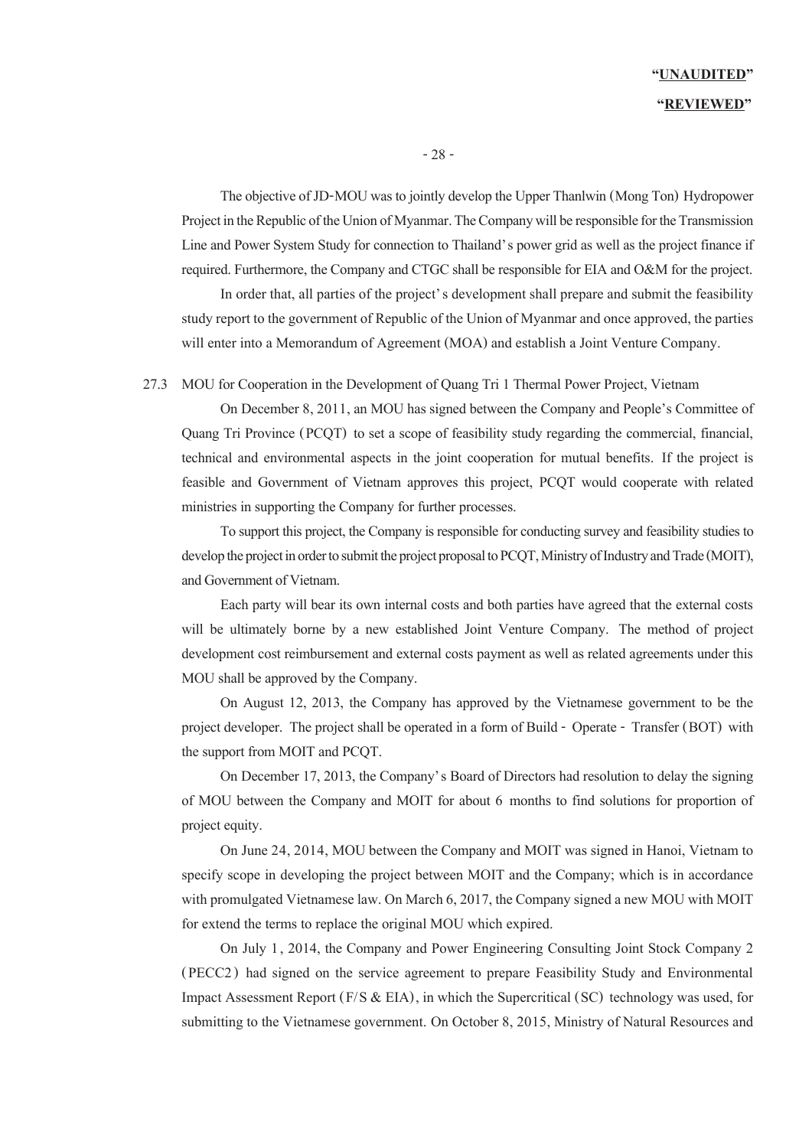# **"UNAUDITED" "REVIEWED"**

- 28 -

The objective of JD-MOU was to jointly develop the Upper Thanlwin (Mong Ton) Hydropower Project in the Republic of the Union of Myanmar. The Company will be responsible for the Transmission Line and Power System Study for connection to Thailand's power grid as well as the project finance if required. Furthermore, the Company and CTGC shall be responsible for EIA and O&M for the project.

In order that, all parties of the project's development shall prepare and submit the feasibility study report to the government of Republic of the Union of Myanmar and once approved, the parties will enter into a Memorandum of Agreement (MOA) and establish a Joint Venture Company.

27.3 MOU for Cooperation in the Development of Quang Tri 1 Thermal Power Project, Vietnam

On December 8, 2011, an MOU has signed between the Company and People's Committee of Quang Tri Province (PCQT) to set a scope of feasibility study regarding the commercial, financial, technical and environmental aspects in the joint cooperation for mutual benefits. If the project is feasible and Government of Vietnam approves this project, PCQT would cooperate with related ministries in supporting the Company for further processes.

To support this project, the Company is responsible for conducting survey and feasibility studies to develop the project in order to submit the project proposal to PCQT, Ministry of Industry and Trade (MOIT), and Government of Vietnam.

Each party will bear its own internal costs and both parties have agreed that the external costs will be ultimately borne by a new established Joint Venture Company. The method of project development cost reimbursement and external costs payment as well as related agreements under this MOU shall be approved by the Company.

On August 12, 2013, the Company has approved by the Vietnamese government to be the project developer. The project shall be operated in a form of Build - Operate - Transfer (BOT) with the support from MOIT and PCQT.

On December 17, 2013, the Company's Board of Directors had resolution to delay the signing of MOU between the Company and MOIT for about 6 months to find solutions for proportion of project equity.

On June 24, 2014, MOU between the Company and MOIT was signed in Hanoi, Vietnam to specify scope in developing the project between MOIT and the Company; which is in accordance with promulgated Vietnamese law. On March 6, 2017, the Companysigned a new MOU with MOIT for extend the terms to replace the original MOU which expired.

On July 1, 2014, the Company and Power Engineering Consulting Joint Stock Company 2 (PECC2) had signed on the service agreement to prepare Feasibility Study and Environmental Impact Assessment Report ( $F/S \& EIA$ ), in which the Supercritical (SC) technology was used, for submitting to the Vietnamese government. On October 8, 2015, Ministry of Natural Resources and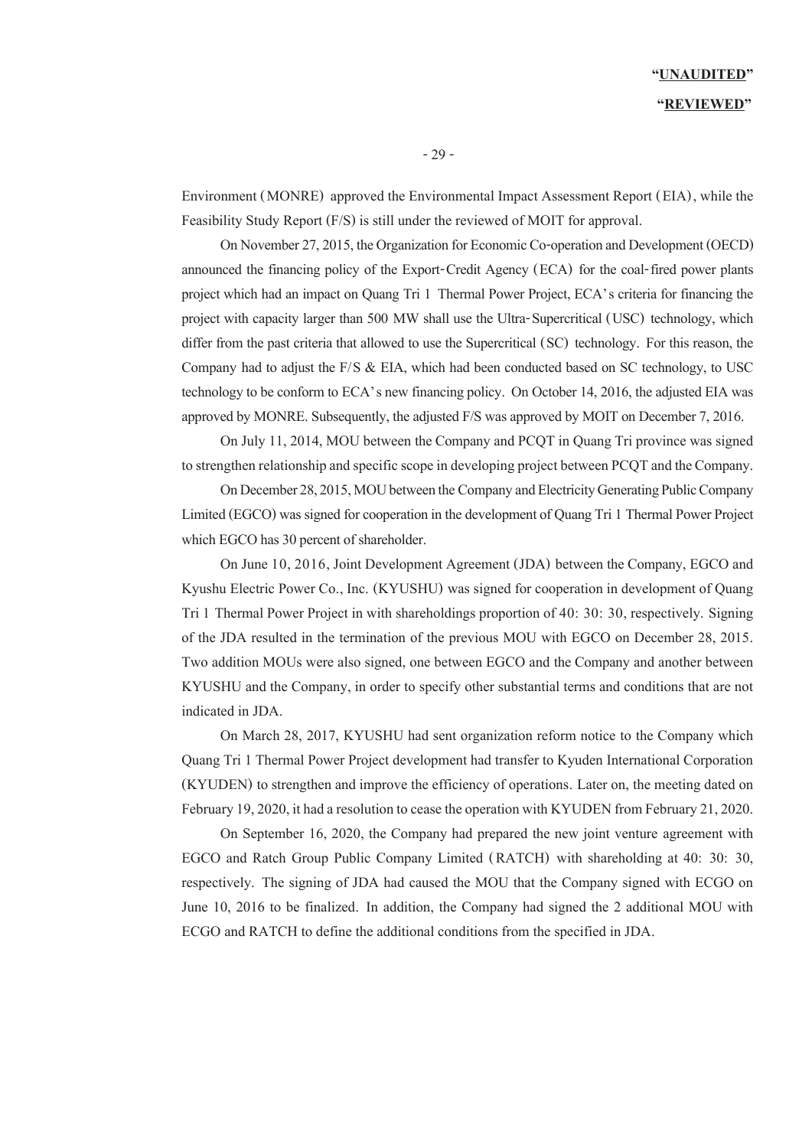# **"UNAUDITED" "REVIEWED"**

Environment (MONRE) approved the Environmental Impact Assessment Report (EIA), while the Feasibility Study Report (F/S) is still under the reviewed of MOIT for approval.

On November 27, 2015, the Organization for Economic Co-operation and Development (OECD) announced the financing policy of the Export-Credit Agency (ECA) for the coal-fired power plants project which had an impact on Quang Tri 1 Thermal Power Project, ECA's criteria for financing the project with capacity larger than 500 MW shall use the Ultra-Supercritical (USC) technology, which differ from the past criteria that allowed to use the Supercritical (SC) technology. For this reason, the Company had to adjust the F/S & EIA, which had been conducted based on SC technology, to USC technology to be conform to ECA's new financing policy. On October 14, 2016, the adjusted EIA was approved by MONRE. Subsequently, the adjusted F/S was approved by MOIT on December 7, 2016.

On July 11, 2014, MOU between the Company and PCQT in Quang Tri province was signed to strengthen relationship and specific scope in developing project between PCQT and the Company.

On December 28, 2015, MOU between the Company and Electricity Generating Public Company Limited (EGCO) was signed for cooperation in the development of Quang Tri 1 Thermal Power Project which EGCO has 30 percent of shareholder.

On June 10, 2016, Joint Development Agreement (JDA) between the Company, EGCO and Kyushu Electric Power Co., Inc. (KYUSHU) was signed for cooperation in development of Quang Tri 1 Thermal Power Project in with shareholdings proportion of 40: 30: 30, respectively. Signing of the JDA resulted in the termination of the previous MOU with EGCO on December 28, 2015. Two addition MOUs were also signed, one between EGCO and the Company and another between KYUSHU and the Company, in order to specify other substantial terms and conditions that are not indicated in JDA.

On March 28, 2017, KYUSHU had sent organization reform notice to the Company which Quang Tri 1 Thermal Power Project development had transfer to Kyuden International Corporation (KYUDEN) to strengthen and improve the efficiency of operations. Later on, the meeting dated on February 19, 2020, it had a resolution to cease the operation with KYUDEN from February 21, 2020.

On September 16, 2020, the Company had prepared the new joint venture agreement with EGCO and Ratch Group Public Company Limited (RATCH) with shareholding at 40: 30: 30, respectively. The signing of JDA had caused the MOU that the Company signed with ECGO on June 10, 2016 to be finalized. In addition, the Company had signed the 2 additional MOU with ECGO and RATCH to define the additional conditions from the specified in JDA.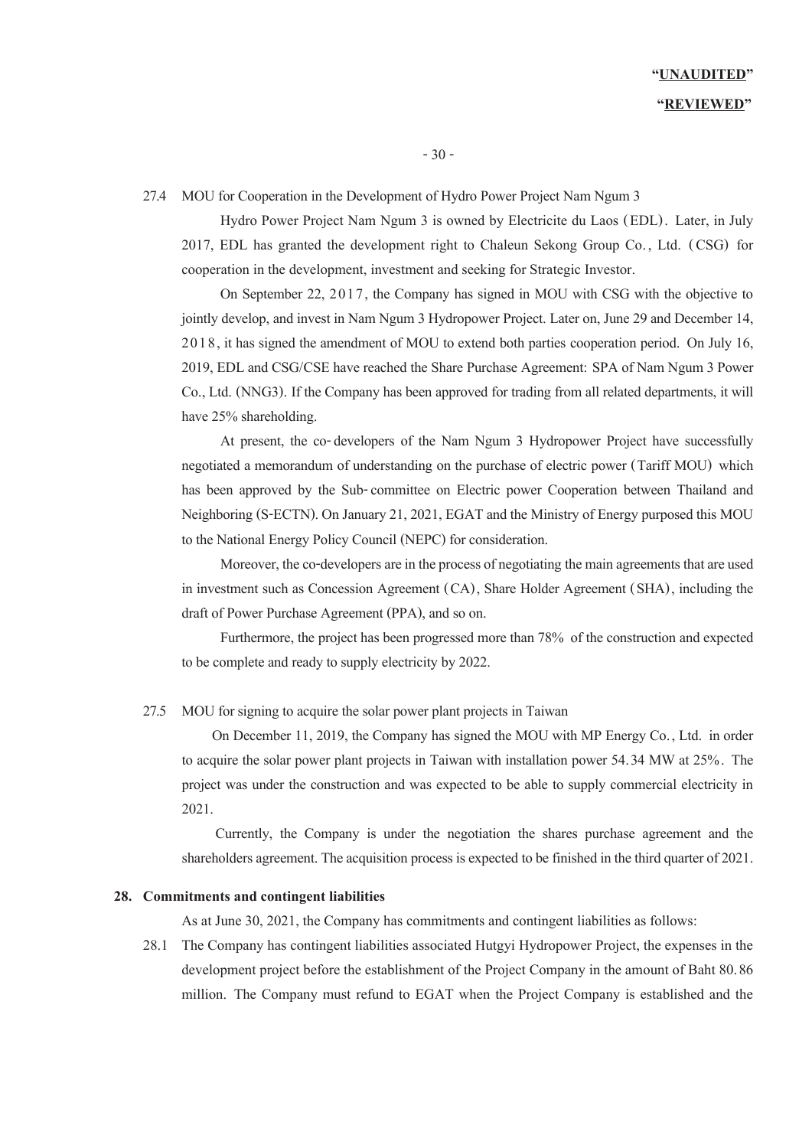27.4 MOU for Cooperation in the Development of Hydro Power Project Nam Ngum 3

Hydro Power Project Nam Ngum 3 is owned by Electricite du Laos (EDL). Later, in July 2017, EDL has granted the development right to Chaleun Sekong Group Co. , Ltd. (CSG) for cooperation in the development, investment and seeking for Strategic Investor.

On September 22, 2017, the Company has signed in MOU with CSG with the objective to jointly develop, and invest in Nam Ngum 3 Hydropower Project. Later on, June29and December 14, 2018, it has signed the amendment of MOU to extend both parties cooperation period. On July 16, 2019, EDL and CSG/CSE have reached the Share Purchase Agreement: SPA of Nam Ngum 3 Power Co., Ltd. (NNG3). If the Company has been approved for trading from all related departments, it will have 25% shareholding.

At present, the co-developers of the Nam Ngum 3 Hydropower Project have successfully negotiated a memorandum of understanding on the purchase of electric power (Tariff MOU) which has been approved by the Sub-committee on Electric power Cooperation between Thailand and Neighboring (S-ECTN). On January 21, 2021, EGAT and the Ministry of Energy purposed this MOU to the National Energy Policy Council (NEPC) for consideration.

Moreover, the co-developers are in the process of negotiating the main agreements that are used in investment such as Concession Agreement (CA), Share Holder Agreement (SHA), including the draft of Power Purchase Agreement (PPA), and so on.

Furthermore, the project has been progressed more than 78% of the construction and expected to be complete and ready to supply electricity by 2022.

#### 27.5 MOU for signing to acquire the solar power plant projects in Taiwan

 On December 11, 2019, the Company has signed the MOU with MP Energy Co., Ltd. in order to acquire the solar power plant projects in Taiwan with installation power 54.34 MW at 25%. The project was under the construction and was expected to be able to supply commercial electricity in 2021.

 Currently, the Company is under the negotiation the shares purchase agreement and the shareholders agreement. The acquisition process is expected to be finished in the third quarter of 2021.

#### **28. Commitments and contingent liabilities**

As at June 30, 2021, the Company has commitments and contingent liabilities as follows:

28.1 The Company has contingent liabilities associated Hutgyi Hydropower Project, the expenses in the development project before the establishment of the Project Company in the amount of Baht 80.86 million. The Company must refund to EGAT when the Project Company is established and the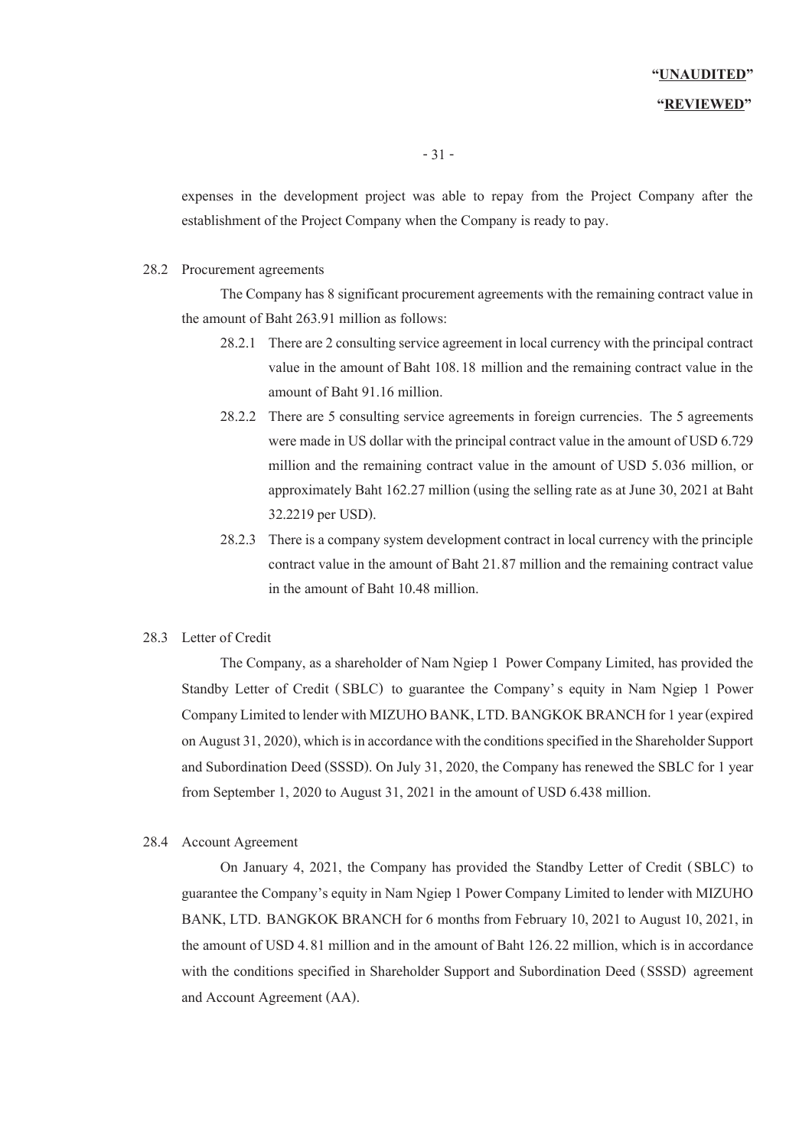### **"REVIEWED"**

expenses in the development project was able to repay from the Project Company after the establishment of the Project Company when the Company is ready to pay.

#### 28.2 Procurement agreements

The Company has 8 significant procurement agreements with the remaining contract value in the amount of Baht 263.91 million as follows:

- 28.2.1 There are2 consulting service agreement in local currency with the principal contract value in the amount of Baht 108.18 million and the remaining contract value in the amount of Baht 91.16 million.
- 28.2.2 There are 5 consulting service agreements in foreign currencies. The 5 agreements were made in US dollar with the principal contract value in the amount of USD 6.729 million and the remaining contract value in the amount of USD 5.036 million, or approximately Baht 162.27 million (using the selling rate as at June 30, 2021at Baht 32.2219 per USD).
- 28.2.3 There is a company system development contract in local currency with the principle contract value in the amount of Baht 21.87 million and the remaining contract value in the amount of Baht 10.48 million.

#### 28.3 Letter of Credit

The Company, as a shareholder of Nam Ngiep 1 Power Company Limited, has provided the Standby Letter of Credit (SBLC) to guarantee the Company's equity in Nam Ngiep 1 Power Company Limited to lender with MIZUHO BANK, LTD. BANGKOK BRANCH for 1 year (expired on August 31, 2020), which is in accordance with the conditions specified in the Shareholder Support and Subordination Deed (SSSD). On July 31, 2020, the Company has renewed the SBLC for 1 year from September 1, 2020 to August 31, 2021 in the amount of USD 6.438 million.

#### 28.4 Account Agreement

On January 4, 2021, the Company has provided the Standby Letter of Credit (SBLC) to guarantee the Company's equity in Nam Ngiep 1 Power Company Limited to lender with MIZUHO BANK, LTD. BANGKOK BRANCH for 6 months from February 10, 2021 to August 10, 2021, in the amount of USD 4.81 million and in the amount of Baht 126.22 million, which is in accordance with the conditions specified in Shareholder Support and Subordination Deed (SSSD) agreement and Account Agreement (AA).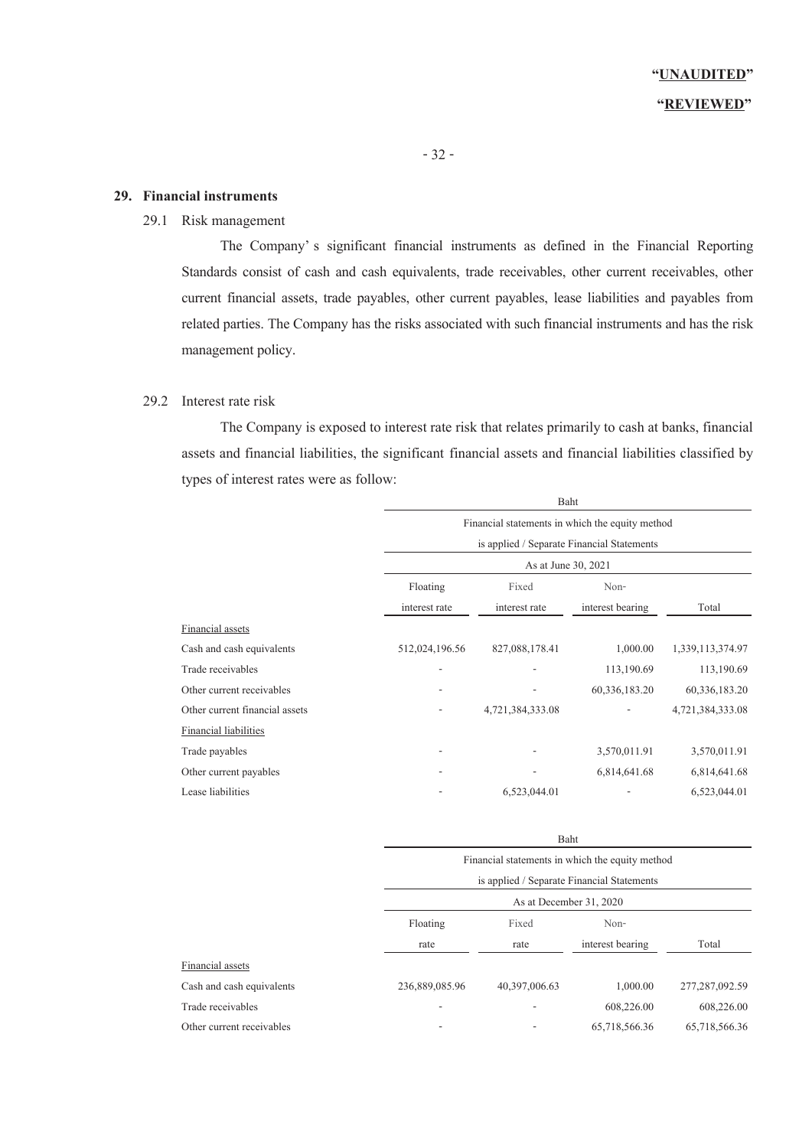#### **29. Financial instruments**

# 29.1 Risk management

The Company' s significant financial instruments as defined in the Financial Reporting Standards consist of cash and cash equivalents, trade receivables, other current receivables, other current financial assets, trade payables, other current payables, lease liabilities and payables from related parties. The Company has the risks associated with such financial instruments and has the risk management policy.

### 29.2 Interest rate risk

The Company is exposed to interest rate risk that relates primarily to cash at banks, financial assets and financial liabilities, the significant financial assets and financial liabilities classified by types of interest rates were as follow:

|                                |                                            | Baht                                            |                  |                  |  |  |  |
|--------------------------------|--------------------------------------------|-------------------------------------------------|------------------|------------------|--|--|--|
|                                |                                            | Financial statements in which the equity method |                  |                  |  |  |  |
|                                | is applied / Separate Financial Statements |                                                 |                  |                  |  |  |  |
|                                | As at June 30, 2021                        |                                                 |                  |                  |  |  |  |
|                                | Floating                                   |                                                 |                  |                  |  |  |  |
|                                | interest rate                              | interest rate                                   | interest bearing | Total            |  |  |  |
| Financial assets               |                                            |                                                 |                  |                  |  |  |  |
| Cash and cash equivalents      | 512,024,196.56                             | 827,088,178.41                                  | 1,000.00         | 1,339,113,374.97 |  |  |  |
| Trade receivables              |                                            |                                                 | 113,190.69       | 113,190.69       |  |  |  |
| Other current receivables      |                                            |                                                 | 60,336,183.20    | 60,336,183.20    |  |  |  |
| Other current financial assets |                                            | 4,721,384,333.08                                |                  | 4,721,384,333.08 |  |  |  |
| <b>Financial liabilities</b>   |                                            |                                                 |                  |                  |  |  |  |
| Trade payables                 |                                            |                                                 | 3,570,011.91     | 3,570,011.91     |  |  |  |
| Other current payables         |                                            |                                                 | 6,814,641.68     | 6,814,641.68     |  |  |  |
| Lease liabilities              |                                            | 6,523,044.01                                    |                  | 6,523,044.01     |  |  |  |

|                           |                                                 | раш                                        |                  |                   |  |  |
|---------------------------|-------------------------------------------------|--------------------------------------------|------------------|-------------------|--|--|
|                           | Financial statements in which the equity method |                                            |                  |                   |  |  |
|                           |                                                 | is applied / Separate Financial Statements |                  |                   |  |  |
|                           |                                                 | As at December 31, 2020                    |                  |                   |  |  |
|                           | Floating                                        | Fixed<br>Non-                              |                  |                   |  |  |
|                           | rate                                            | rate                                       | interest bearing | Total             |  |  |
| Financial assets          |                                                 |                                            |                  |                   |  |  |
| Cash and cash equivalents | 236,889,085.96                                  | 40,397,006.63                              | 1,000.00         | 277, 287, 092, 59 |  |  |
| Trade receivables         |                                                 |                                            | 608,226.00       | 608,226.00        |  |  |
| Other current receivables |                                                 |                                            | 65,718,566.36    | 65,718,566.36     |  |  |
|                           |                                                 |                                            |                  |                   |  |  |

Baht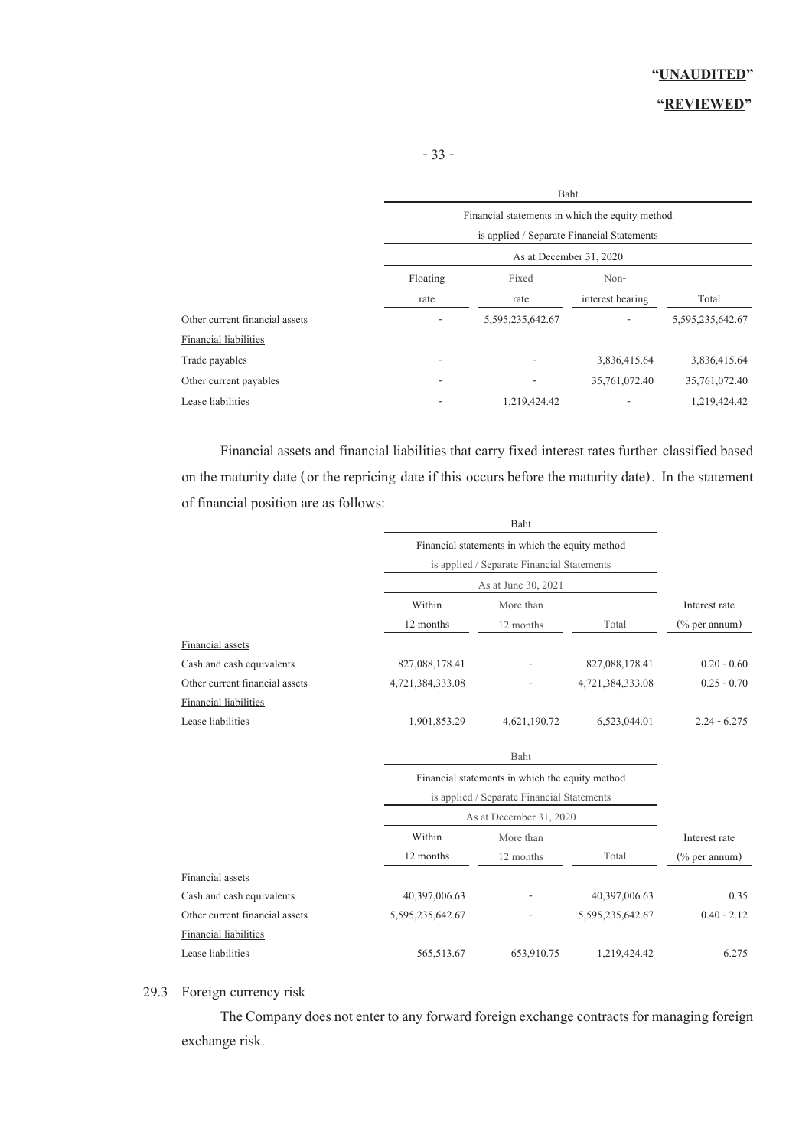|                                | Baht                                            |                                            |                  |                  |  |  |
|--------------------------------|-------------------------------------------------|--------------------------------------------|------------------|------------------|--|--|
|                                | Financial statements in which the equity method |                                            |                  |                  |  |  |
|                                |                                                 | is applied / Separate Financial Statements |                  |                  |  |  |
|                                | As at December 31, 2020                         |                                            |                  |                  |  |  |
|                                | Floating                                        | Fixed                                      | Non-             |                  |  |  |
|                                | rate                                            | rate                                       | interest bearing | Total            |  |  |
| Other current financial assets |                                                 | 5,595,235,642.67                           |                  | 5,595,235,642.67 |  |  |
| Financial liabilities          |                                                 |                                            |                  |                  |  |  |
| Trade payables                 |                                                 |                                            | 3,836,415.64     | 3,836,415.64     |  |  |
| Other current payables         |                                                 |                                            | 35,761,072.40    | 35,761,072.40    |  |  |
| Lease liabilities              |                                                 | 1,219,424.42                               |                  | 1,219,424.42     |  |  |

Financial assets and financial liabilities that carry fixed interest rates further classified based on the maturity date (or the repricing date if this occurs before the maturity date). In the statement of financial position are as follows:

|                                |                  | Financial statements in which the equity method<br>is applied / Separate Financial Statements |                  |                  |  |  |
|--------------------------------|------------------|-----------------------------------------------------------------------------------------------|------------------|------------------|--|--|
|                                |                  |                                                                                               |                  |                  |  |  |
|                                |                  | As at June 30, 2021                                                                           |                  |                  |  |  |
|                                | Within           | More than                                                                                     |                  |                  |  |  |
|                                | 12 months        | 12 months                                                                                     | Total            | $(\%$ per annum) |  |  |
| Financial assets               |                  |                                                                                               |                  |                  |  |  |
| Cash and cash equivalents      | 827,088,178.41   | 827,088,178.41                                                                                |                  |                  |  |  |
| Other current financial assets | 4,721,384,333.08 | 4,721,384,333.08                                                                              |                  |                  |  |  |
| <b>Financial liabilities</b>   |                  |                                                                                               |                  |                  |  |  |
| Lease liabilities              | 1,901,853.29     | 4,621,190.72                                                                                  | 6,523,044.01     | $2.24 - 6.275$   |  |  |
|                                |                  | Baht                                                                                          |                  |                  |  |  |
|                                |                  | Financial statements in which the equity method                                               |                  |                  |  |  |
|                                |                  | is applied / Separate Financial Statements                                                    |                  |                  |  |  |
|                                |                  | As at December 31, 2020                                                                       |                  |                  |  |  |
|                                | Within           | More than                                                                                     |                  | Interest rate    |  |  |
|                                | 12 months        | 12 months                                                                                     | Total            | $(\%$ per annum) |  |  |
| Financial assets               |                  |                                                                                               |                  |                  |  |  |
| Cash and cash equivalents      | 40,397,006.63    |                                                                                               | 40,397,006.63    | 0.35             |  |  |
| Other current financial assets | 5,595,235,642.67 |                                                                                               | 5,595,235,642.67 | $0.40 - 2.12$    |  |  |
| Financial liabilities          |                  |                                                                                               |                  |                  |  |  |
| Lease liabilities              | 565,513.67       | 653,910.75                                                                                    | 1,219,424.42     | 6.275            |  |  |

### 29.3 Foreign currency risk

The Company does not enter to any forward foreign exchange contracts for managing foreign exchange risk.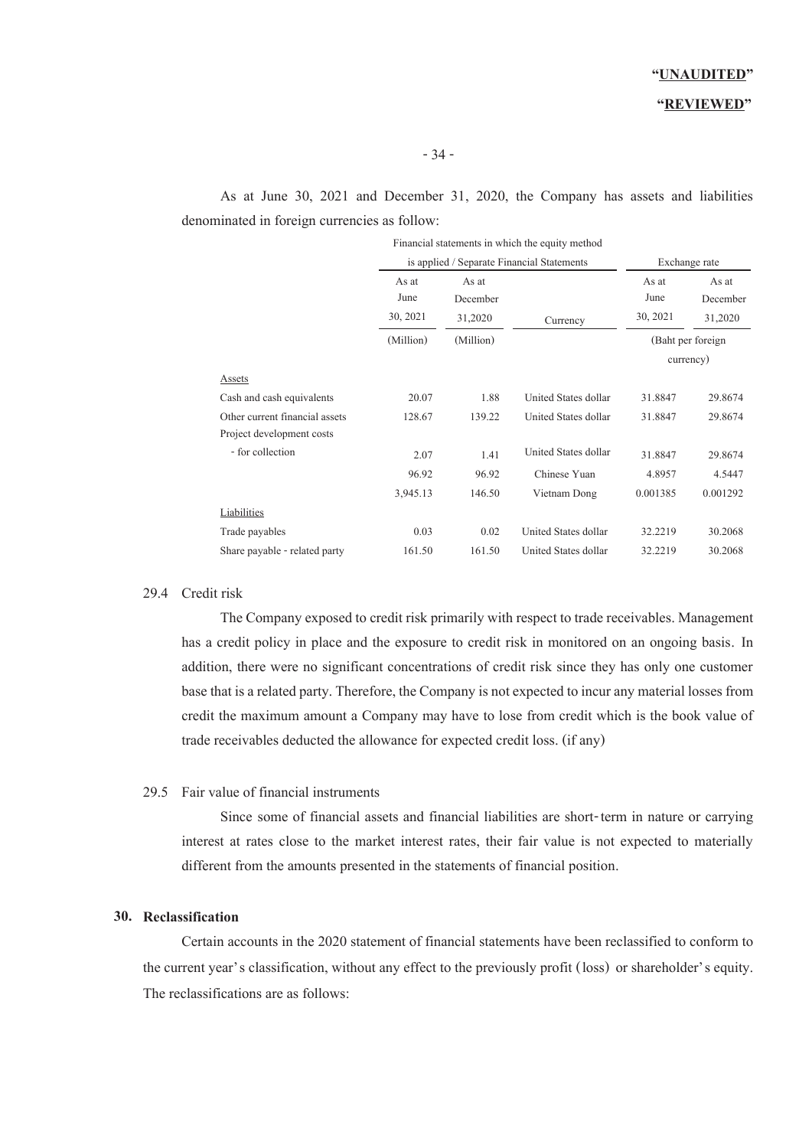#### **"REVIEWED"**

As at June 30, 2021 and December 31, 2020, the Company has assets and liabilities denominated in foreign currencies as follow:

|                                |                           |                              | Financial statements in which the equity method |                           |                              |
|--------------------------------|---------------------------|------------------------------|-------------------------------------------------|---------------------------|------------------------------|
|                                |                           |                              | is applied / Separate Financial Statements      | Exchange rate             |                              |
|                                | As at<br>June<br>30, 2021 | As at<br>December<br>31,2020 | Currency                                        | As at<br>June<br>30, 2021 | As at<br>December<br>31,2020 |
|                                | (Million)                 | (Million)                    |                                                 |                           | (Baht per foreign)           |
|                                |                           |                              |                                                 |                           | currency)                    |
| Assets                         |                           |                              |                                                 |                           |                              |
| Cash and cash equivalents      | 20.07                     | 1.88                         | United States dollar                            | 31.8847                   | 29.8674                      |
| Other current financial assets | 128.67                    | 139.22                       | United States dollar                            | 31.8847                   | 29.8674                      |
| Project development costs      |                           |                              |                                                 |                           |                              |
| - for collection               | 2.07                      | 1.41                         | United States dollar                            | 31.8847                   | 29.8674                      |
|                                | 96.92                     | 96.92                        | Chinese Yuan                                    | 4.8957                    | 4.5447                       |
|                                | 3,945.13                  | 146.50                       | Vietnam Dong                                    | 0.001385                  | 0.001292                     |
| Liabilities                    |                           |                              |                                                 |                           |                              |
| Trade payables                 | 0.03                      | 0.02                         | United States dollar                            | 32,2219                   | 30.2068                      |
| Share payable - related party  | 161.50                    | 161.50                       | United States dollar                            | 32,2219                   | 30.2068                      |

#### 29.4 Credit risk

The Company exposed to credit risk primarily with respect to trade receivables. Management has a credit policy in place and the exposure to credit risk in monitored on an ongoing basis. In addition, there were no significant concentrations of credit risk since they has only one customer base that is a related party. Therefore, the Company is not expected to incur any material losses from credit the maximum amount a Company may have to lose from credit which is the book value of trade receivables deducted the allowance for expected credit loss. (if any)

#### 29.5 Fair value of financial instruments

Since some of financial assets and financial liabilities are short-term in nature or carrying interest at rates close to the market interest rates, their fair value is not expected to materially different from the amounts presented in the statements of financial position.

#### **30. Reclassification**

Certain accounts in the 2020 statement of financial statements have been reclassified to conform to the current year's classification, without any effect to the previously profit (loss) or shareholder's equity. The reclassifications are as follows: